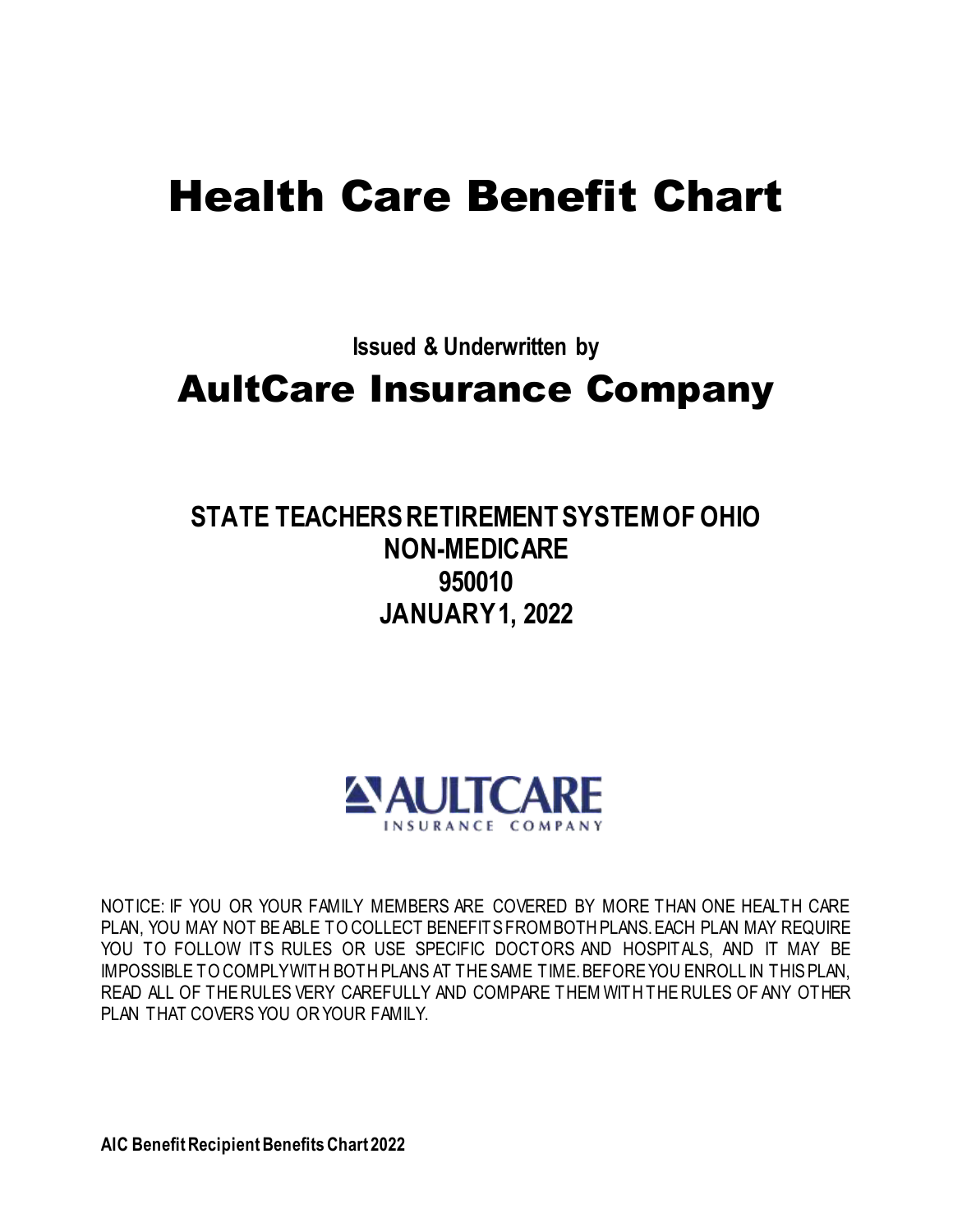# Health Care Benefit Chart

**Issued & Underwritten by**

## AultCare Insurance Company

### **STATE TEACHERS RETIREMENT SYSTEM OF OHIO NON-MEDICARE 950010 JANUARY 1, 2022**



NOTICE: IF YOU OR YOUR FAMILY MEMBERS ARE COVERED BY MORE THAN ONE HEALTH CARE PLAN, YOU MAY NOT BE ABLE TO COLLECT BENEFITS FROM BOTH PLANS. EACH PLAN MAY REQUIRE YOU TO FOLLOW ITS RULES OR USE SPECIFIC DOCTORS AND HOSPITALS, AND IT MAY BE IMPOSSIBLE TO COMPLY WITH BOTH PLANS AT THE SAME TIME. BEFORE YOU ENROLL IN THIS PLAN, READ ALL OF THE RULES VERY CAREFULLY AND COMPARE THEM WITH THE RULES OF ANY OTHER PLAN THAT COVERS YOU OR YOUR FAMILY.

**AIC Benefit Recipient Benefits Chart 2022**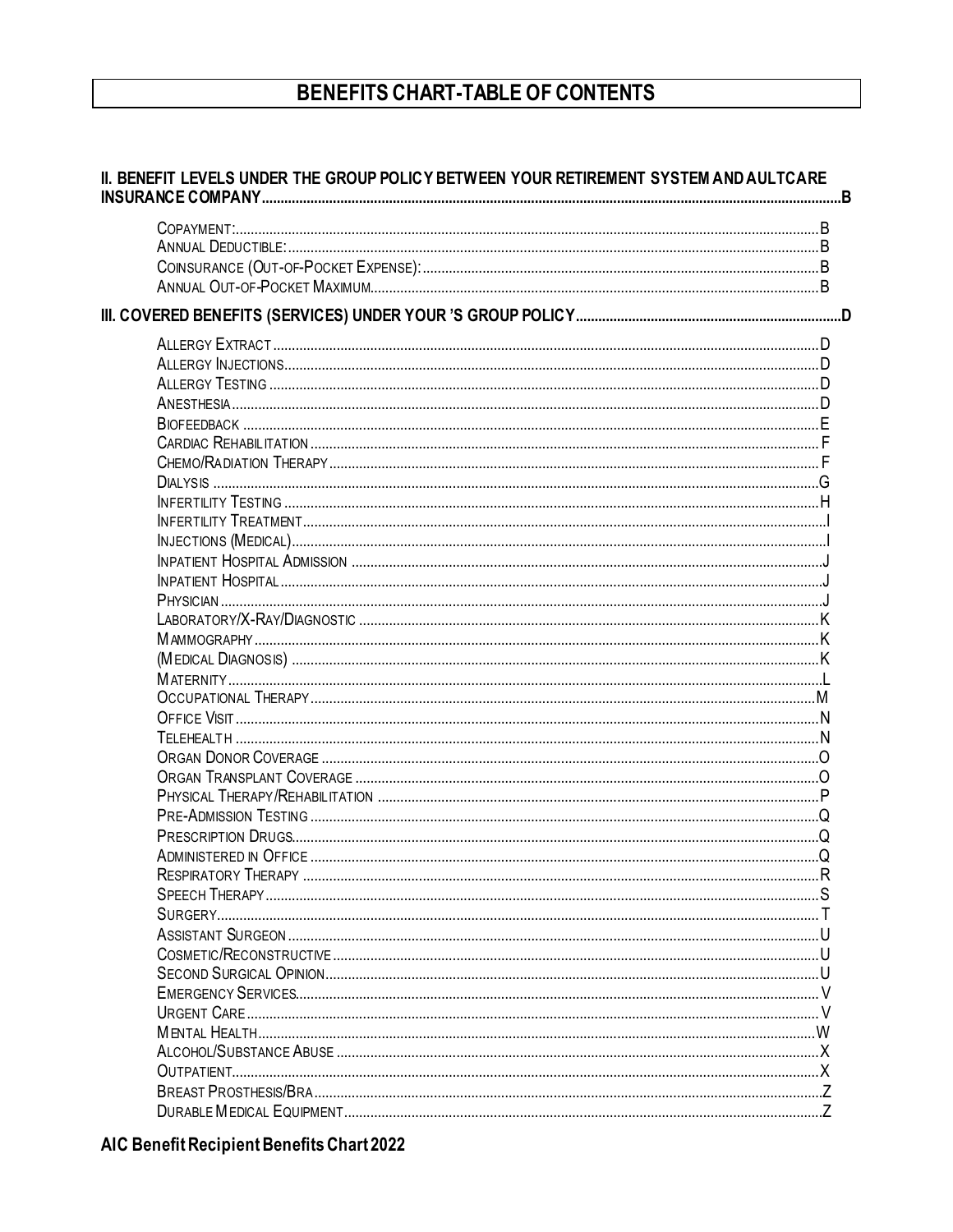#### BENEFITS CHART-TABLE OF CONTENTS

#### II. BENEFIT LEVELS UNDER THE GROUP POLICY BETWEEN YOUR RETIREMENT SYSTEM AND AULTCARE INSURANCE COMPANY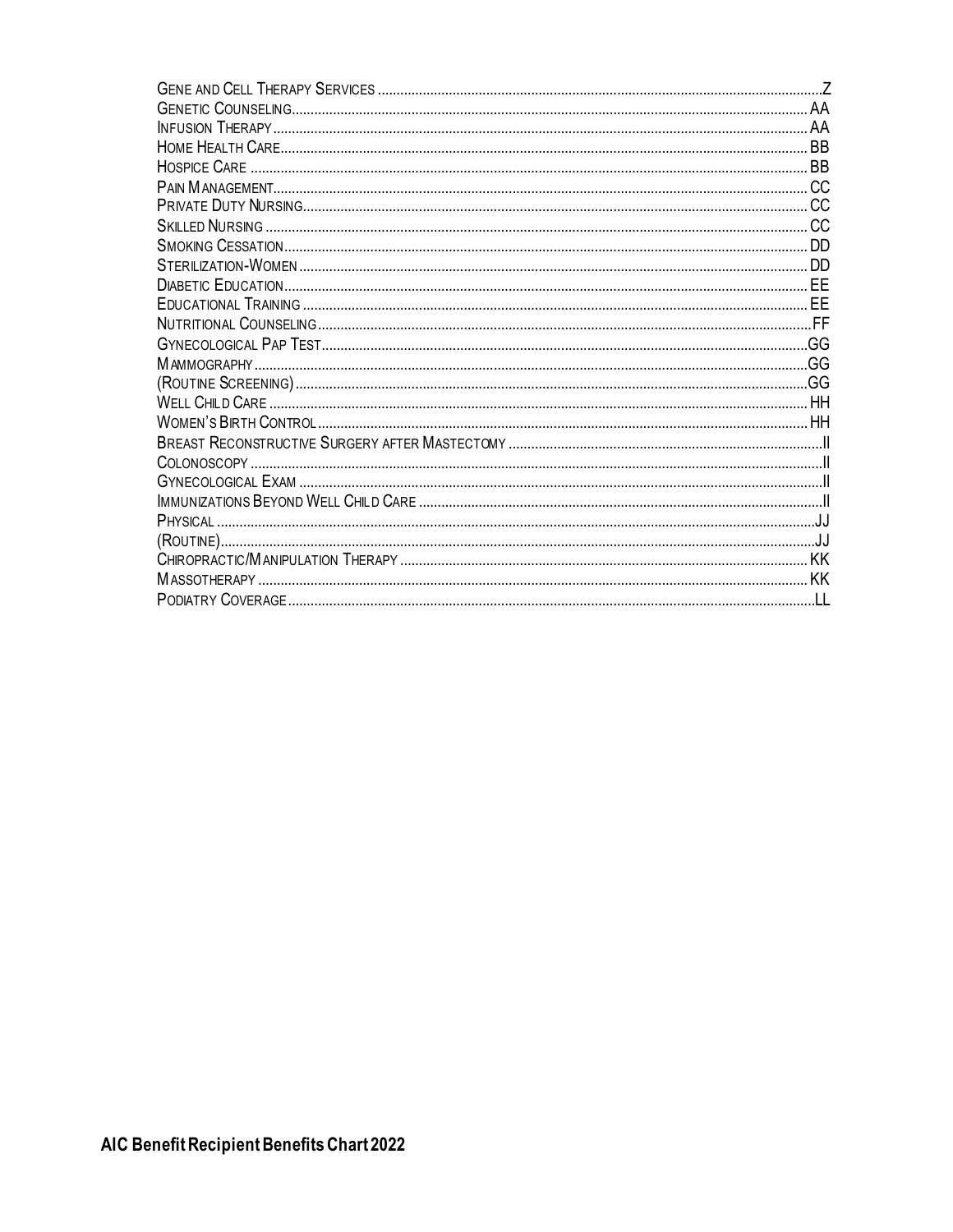| <b>HOSPICE CARE</b> |     |
|---------------------|-----|
|                     |     |
|                     | CC. |
|                     |     |
|                     |     |
|                     |     |
|                     |     |
|                     |     |
|                     |     |
|                     |     |
|                     |     |
|                     |     |
|                     |     |
|                     |     |
|                     |     |
|                     |     |
|                     |     |
|                     |     |
|                     |     |
|                     |     |
|                     | KK  |
|                     |     |
|                     |     |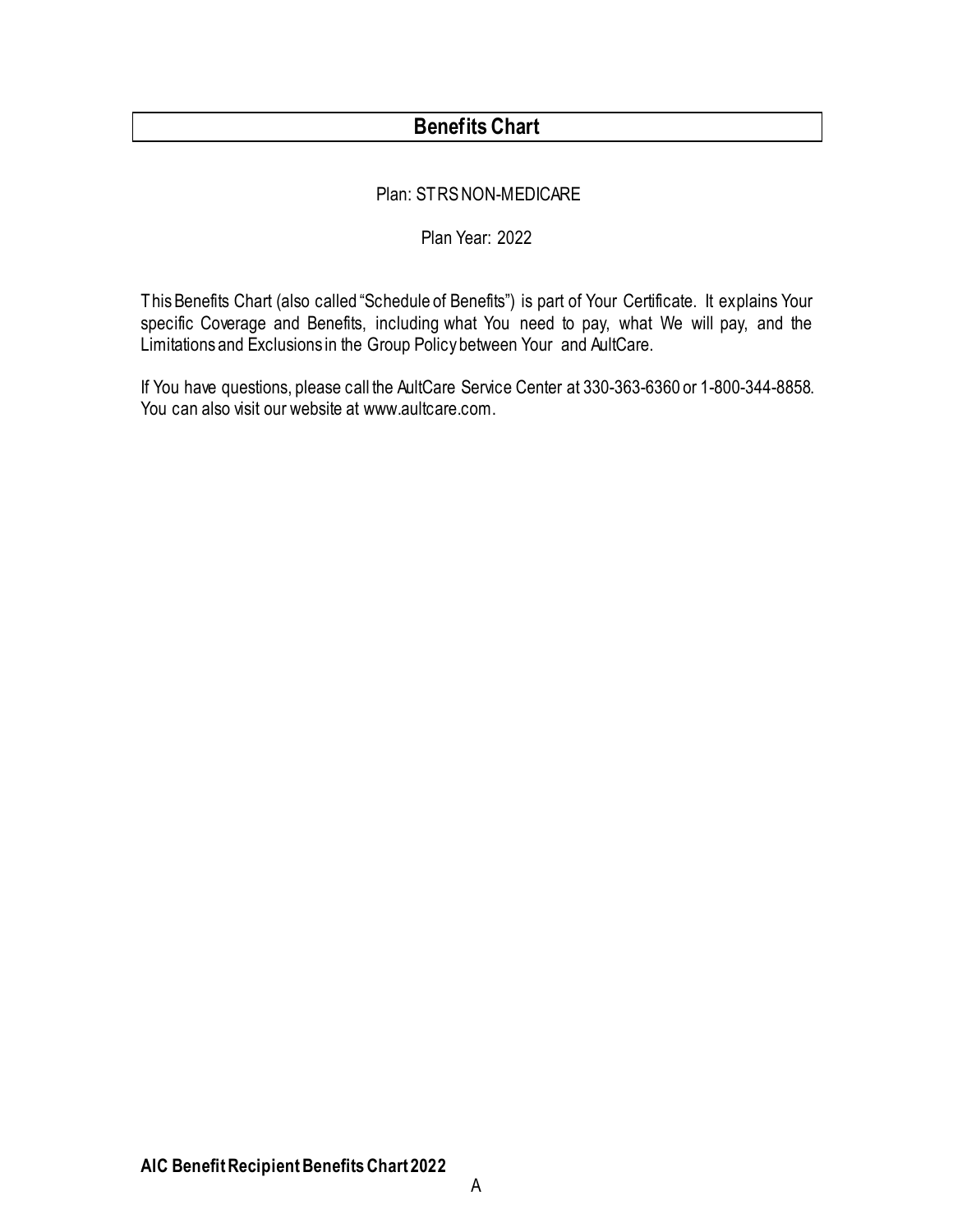#### **Benefits Chart**

#### Plan: STRS NON-MEDICARE

#### Plan Year: 2022

This Benefits Chart (also called "Schedule of Benefits") is part of Your Certificate. It explains Your specific Coverage and Benefits, including what You need to pay, what We will pay, and the Limitations and Exclusions in the Group Policy between Your and AultCare.

If You have questions, please call the AultCare Service Center at 330-363-6360 or 1-800-344-8858. You can also visit our website at www.aultcare.com.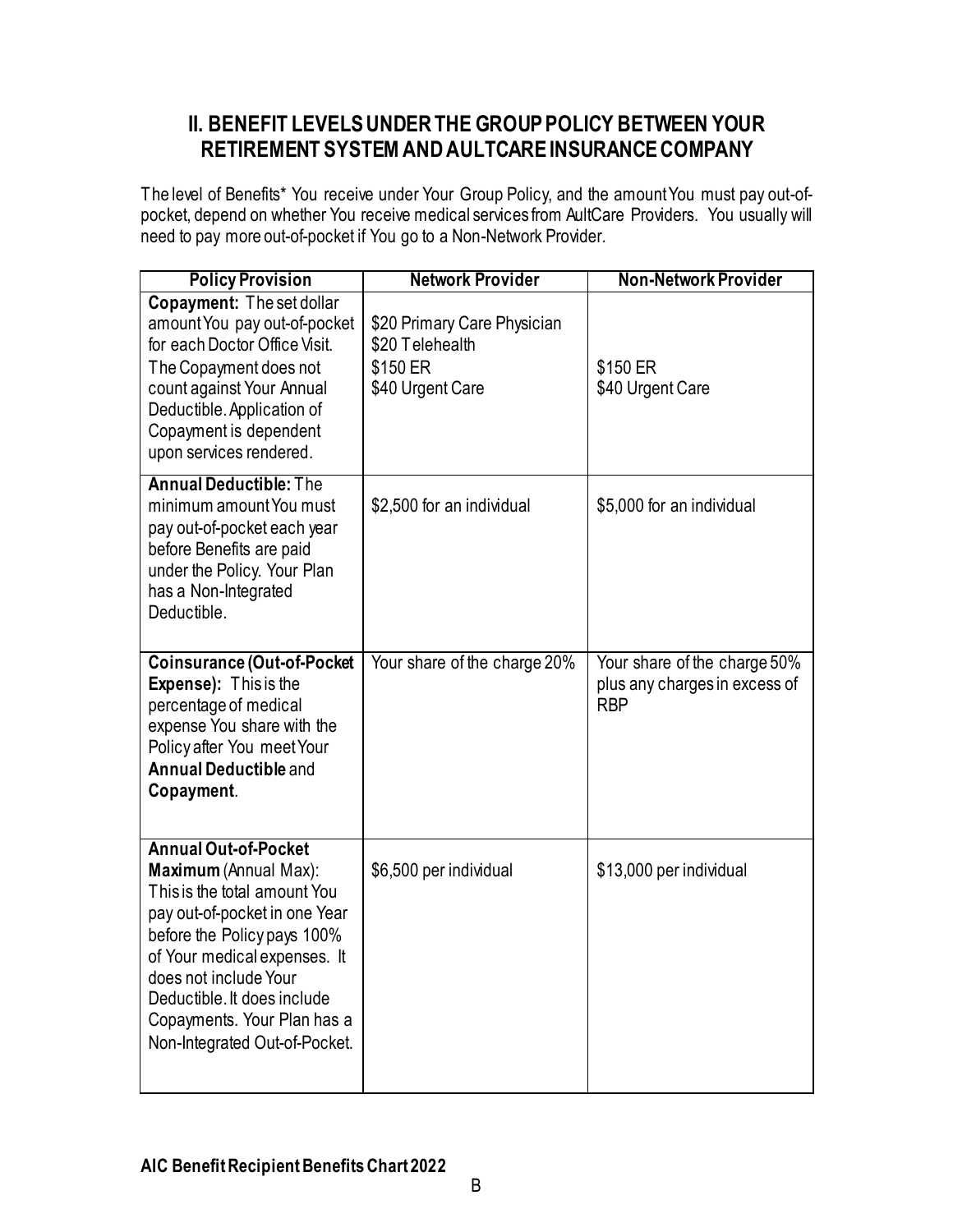#### <span id="page-4-0"></span>**II. BENEFIT LEVELS UNDER THE GROUP POLICY BETWEEN YOUR RETIREMENT SYSTEMAND AULTCARE INSURANCE COMPANY**

The level of Benefits\* You receive under Your Group Policy, and the amount You must pay out-ofpocket, depend on whether You receive medical services from AultCare Providers. You usually will need to pay more out-of-pocket if You go to a Non-Network Provider.

<span id="page-4-4"></span><span id="page-4-3"></span><span id="page-4-2"></span><span id="page-4-1"></span>

| <b>Policy Provision</b>                                                                                                                                                                                                                                                                                      | <b>Network Provider</b>                                                        | <b>Non-Network Provider</b>                                                 |
|--------------------------------------------------------------------------------------------------------------------------------------------------------------------------------------------------------------------------------------------------------------------------------------------------------------|--------------------------------------------------------------------------------|-----------------------------------------------------------------------------|
| Copayment: The set dollar<br>amount You pay out-of-pocket<br>for each Doctor Office Visit.<br>The Copayment does not<br>count against Your Annual<br>Deductible. Application of<br>Copayment is dependent<br>upon services rendered.                                                                         | \$20 Primary Care Physician<br>\$20 Telehealth<br>\$150 ER<br>\$40 Urgent Care | \$150 ER<br>\$40 Urgent Care                                                |
| <b>Annual Deductible: The</b><br>minimum amount You must<br>pay out-of-pocket each year<br>before Benefits are paid<br>under the Policy. Your Plan<br>has a Non-Integrated<br>Deductible.                                                                                                                    | \$2,500 for an individual                                                      | \$5,000 for an individual                                                   |
| <b>Coinsurance (Out-of-Pocket</b><br>Expense): This is the<br>percentage of medical<br>expense You share with the<br>Policy after You meet Your<br><b>Annual Deductible and</b><br>Copayment.                                                                                                                | Your share of the charge 20%                                                   | Your share of the charge 50%<br>plus any charges in excess of<br><b>RBP</b> |
| <b>Annual Out-of-Pocket</b><br>Maximum (Annual Max):<br>This is the total amount You<br>pay out-of-pocket in one Year<br>before the Policy pays 100%<br>of Your medical expenses. It<br>does not include Your<br>Deductible. It does include<br>Copayments. Your Plan has a<br>Non-Integrated Out-of-Pocket. | \$6,500 per individual                                                         | \$13,000 per individual                                                     |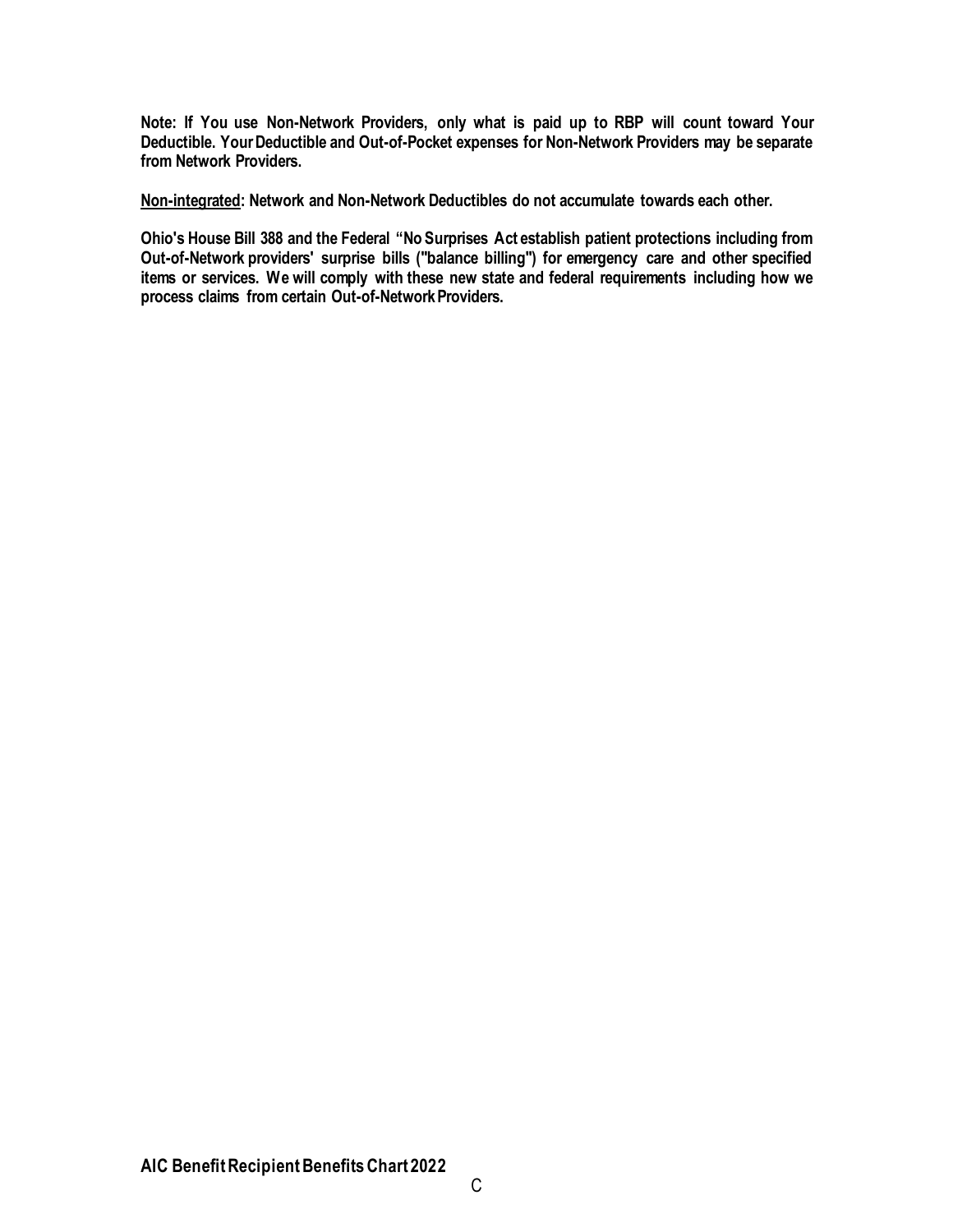**Note: If You use Non-Network Providers, only what is paid up to RBP will count toward Your Deductible. Your Deductible and Out-of-Pocket expenses for Non-Network Providers may be separate from Network Providers.**

**Non-integrated: Network and Non-Network Deductibles do not accumulate towards each other.**

**Ohio's House Bill 388 and the Federal "No Surprises Act establish patient protections including from Out-of-Network providers' surprise bills ("balance billing") for emergency care and other specified items or services. We will comply with these new state and federal requirements including how we process claims from certain Out-of-Network Providers.**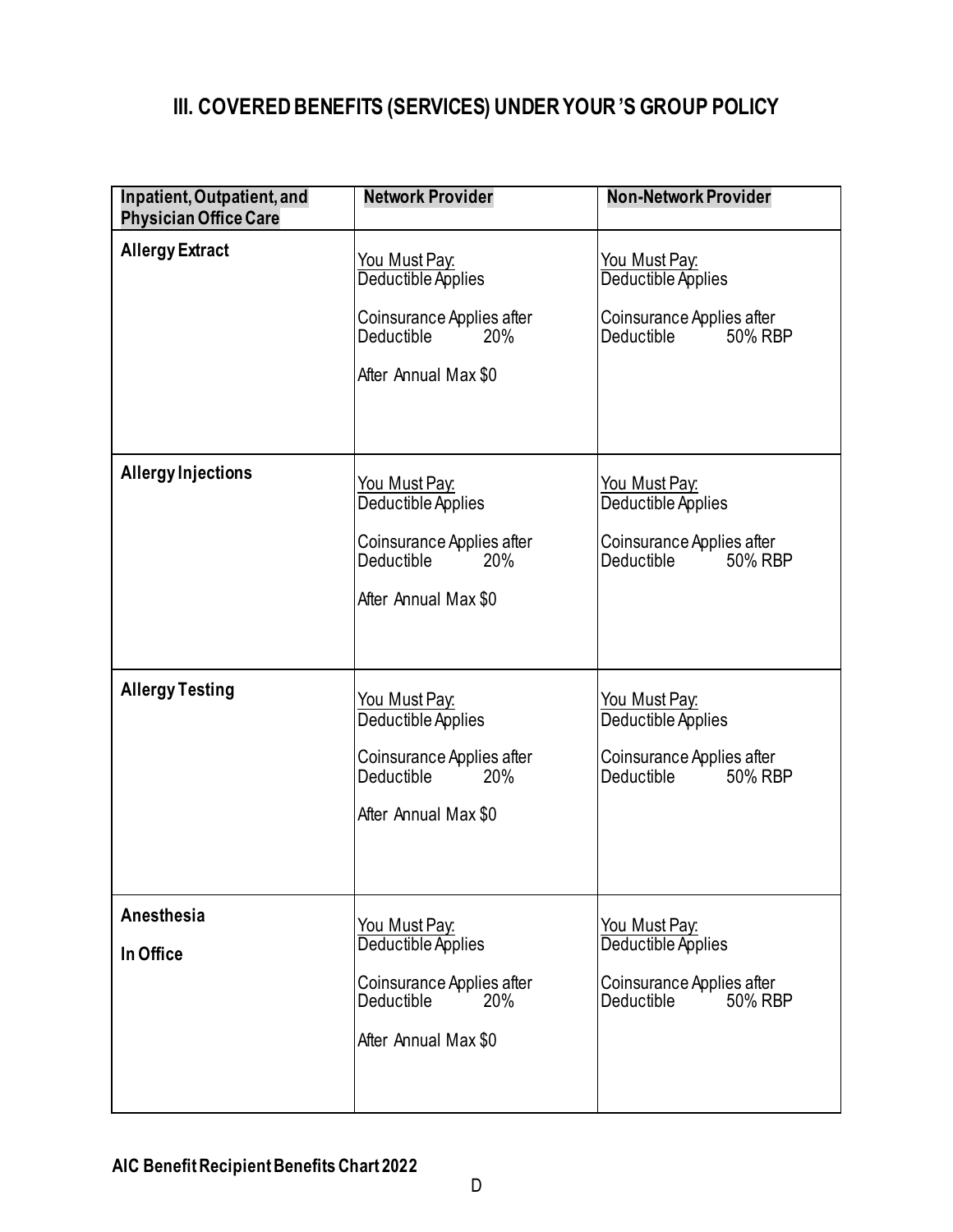#### <span id="page-6-0"></span>**III. COVERED BENEFITS (SERVICES) UNDER YOUR 'S GROUP POLICY**

<span id="page-6-4"></span><span id="page-6-3"></span><span id="page-6-2"></span><span id="page-6-1"></span>

| Inpatient, Outpatient, and<br><b>Physician Office Care</b> | <b>Network Provider</b>                                                                                              | <b>Non-Network Provider</b>                                                                         |
|------------------------------------------------------------|----------------------------------------------------------------------------------------------------------------------|-----------------------------------------------------------------------------------------------------|
| <b>Allergy Extract</b>                                     | You Must Pay:<br>Deductible Applies<br>Coinsurance Applies after<br>Deductible<br>20%<br>After Annual Max \$0        | <u>You Must Pay:</u><br>Deductible Applies<br>Coinsurance Applies after<br>Deductible in<br>50% RBP |
| <b>Allergy Injections</b>                                  | You Must Pay:<br>Deductible Applies<br>Coinsurance Applies after<br><b>Deductible</b><br>20%<br>After Annual Max \$0 | You Must Pay:<br>Deductible Applies<br>Coinsurance Applies after<br>Deductible in<br>50% RBP        |
| <b>Allergy Testing</b>                                     | <u>You Must Pay:</u><br>Deductible Applies<br>Coinsurance Applies after<br>Deductible<br>20%<br>After Annual Max \$0 | <u>You Must Pay:</u><br>Deductible Applies<br>Coinsurance Applies after<br>Deductible<br>50% RBP    |
| Anesthesia<br>In Office                                    | You Must Pay.<br>Deductible Applies<br>Coinsurance Applies after<br>Deductible<br>20%<br>After Annual Max \$0        | You Must Pay:<br>Deductible Applies<br>Coinsurance Applies after<br>50% RBP<br>Deductible           |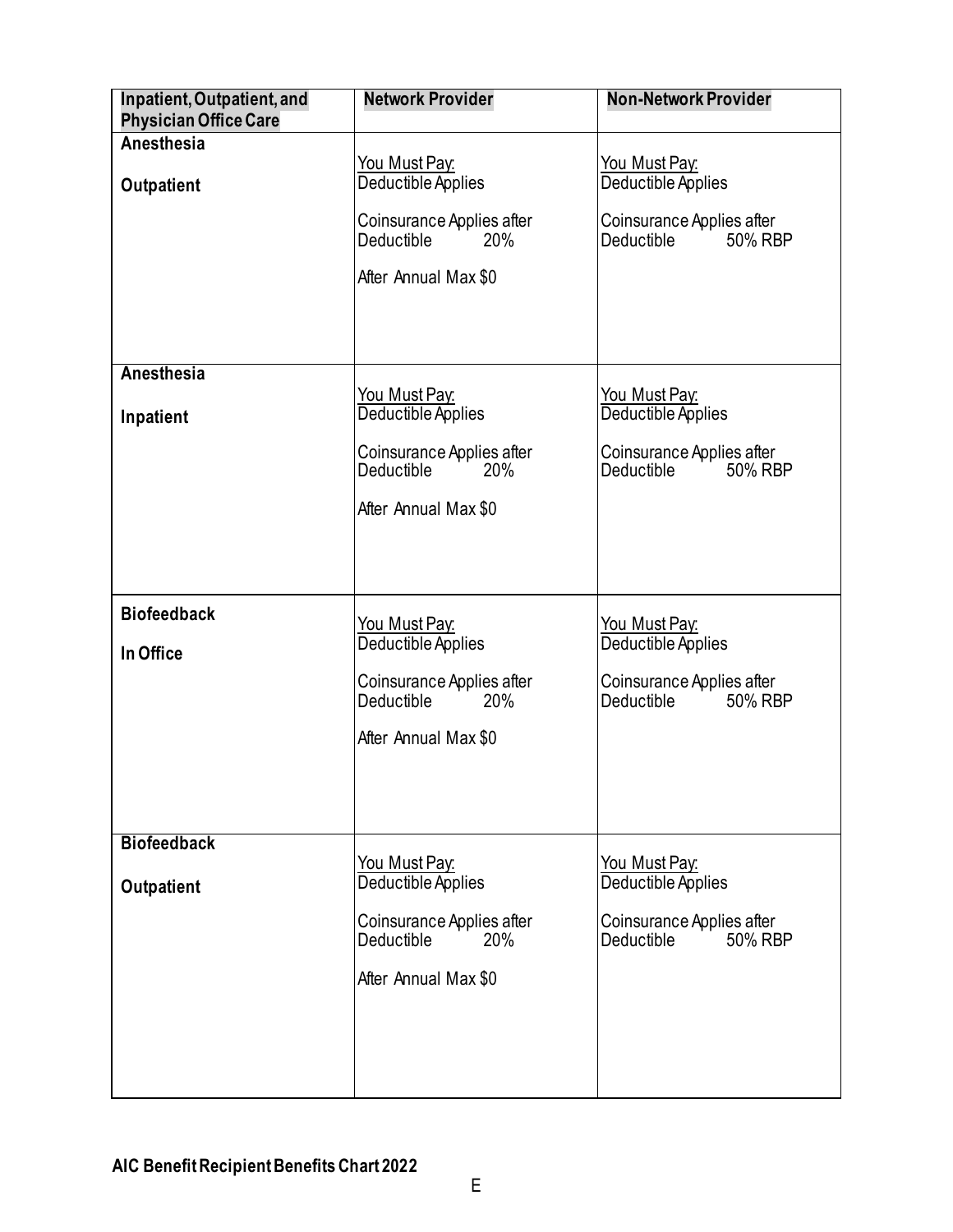<span id="page-7-0"></span>

| Inpatient, Outpatient, and<br><b>Physician Office Care</b> | <b>Network Provider</b>                                                                                              | <b>Non-Network Provider</b>                                                                         |
|------------------------------------------------------------|----------------------------------------------------------------------------------------------------------------------|-----------------------------------------------------------------------------------------------------|
| Anesthesia<br>Outpatient                                   | <u>You Must Pay:</u><br>Deductible Applies<br>Coinsurance Applies after<br>Deductible<br>20%                         | <u>You Must Pay:</u><br>Deductible Applies<br>Coinsurance Applies after<br>Deductible<br>50% RBP    |
|                                                            | After Annual Max \$0                                                                                                 |                                                                                                     |
| Anesthesia<br>Inpatient                                    | You Must Pay:<br>Deductible Applies<br>Coinsurance Applies after<br><b>Deductible</b><br>20%<br>After Annual Max \$0 | <u>You Must Pay:</u><br>Deductible Applies<br>Coinsurance Applies after<br>Deductible in<br>50% RBP |
| <b>Biofeedback</b><br>In Office                            | <u>You Must Pay:</u><br>Deductible Applies<br>Coinsurance Applies after<br>20%<br>Deductible<br>After Annual Max \$0 | <u>You Must Pay:</u><br>Deductible Applies<br>Coinsurance Applies after<br>Deductible<br>50% RBP    |
| <b>Biofeedback</b><br><b>Outpatient</b>                    | <u>You Must Pay:</u><br>Deductible Applies<br>Coinsurance Applies after<br>Deductible<br>20%<br>After Annual Max \$0 | <u>You Must Pay:</u><br>Deductible Applies<br>Coinsurance Applies after<br>50% RBP<br>Deductible    |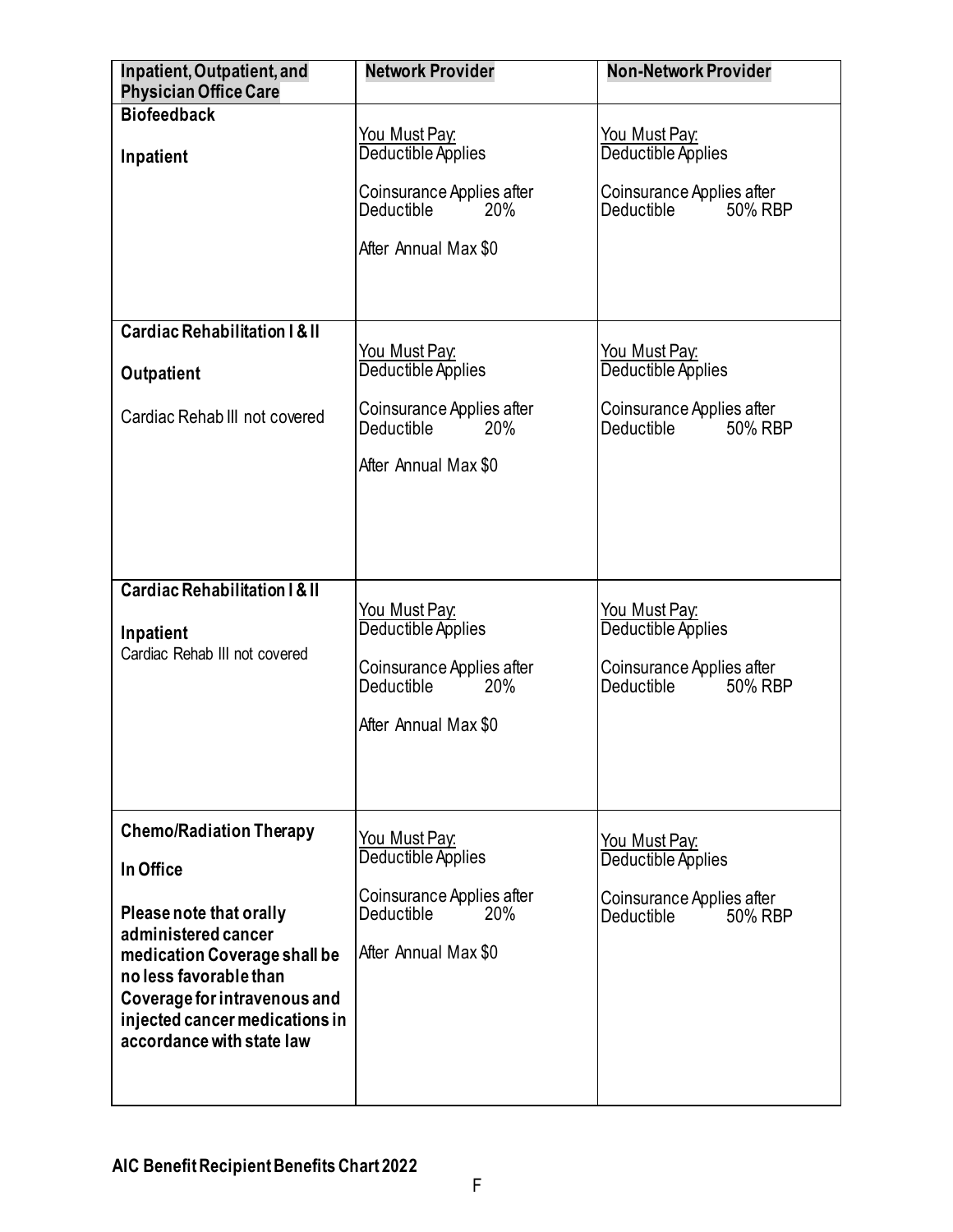<span id="page-8-1"></span><span id="page-8-0"></span>

| Inpatient, Outpatient, and<br><b>Physician Office Care</b>                                                                                                                                                                                             | <b>Network Provider</b>                                                                                                      | <b>Non-Network Provider</b>                                                                             |
|--------------------------------------------------------------------------------------------------------------------------------------------------------------------------------------------------------------------------------------------------------|------------------------------------------------------------------------------------------------------------------------------|---------------------------------------------------------------------------------------------------------|
| <b>Biofeedback</b><br>Inpatient                                                                                                                                                                                                                        | <u> You Must Pay:</u><br>Deductible Applies<br>Coinsurance Applies after<br><b>Deductible</b><br>20%<br>After Annual Max \$0 | You Must Pay:<br>Deductible Applies<br>Coinsurance Applies after<br>Deductible<br>50% RBP               |
| <b>Cardiac Rehabilitation I &amp; II</b><br>Outpatient<br>Cardiac Rehab III not covered                                                                                                                                                                | You Must Pay:<br>Deductible Applies<br>Coinsurance Applies after<br>Deductible<br>20%<br>After Annual Max \$0                | You Must Pay:<br>Deductible Applies<br>Coinsurance Applies after<br>50% RBP<br>Deductible               |
| <b>Cardiac Rehabilitation I &amp; II</b><br>Inpatient<br>Cardiac Rehab III not covered                                                                                                                                                                 | <u>You Must Pay:</u><br>Deductible Applies<br>Coinsurance Applies after<br><b>Deductible</b><br>20%<br>After Annual Max \$0  | <u>You Must Pay:</u><br>Deductible Applies<br>Coinsurance Applies after<br><b>Deductible</b><br>50% RBP |
| <b>Chemo/Radiation Therapy</b><br>In Office<br>Please note that orally<br>administered cancer<br>medication Coverage shall be<br>no less favorable than<br>Coverage for intravenous and<br>injected cancer medications in<br>accordance with state law | <u>You Must Pay:</u><br>Deductible Applies<br>Coinsurance Applies after<br>Deductible<br><b>20%</b><br>After Annual Max \$0  | You Must Pay:<br>Deductible Applies<br>Coinsurance Applies after<br>Deductible<br>50% RBP               |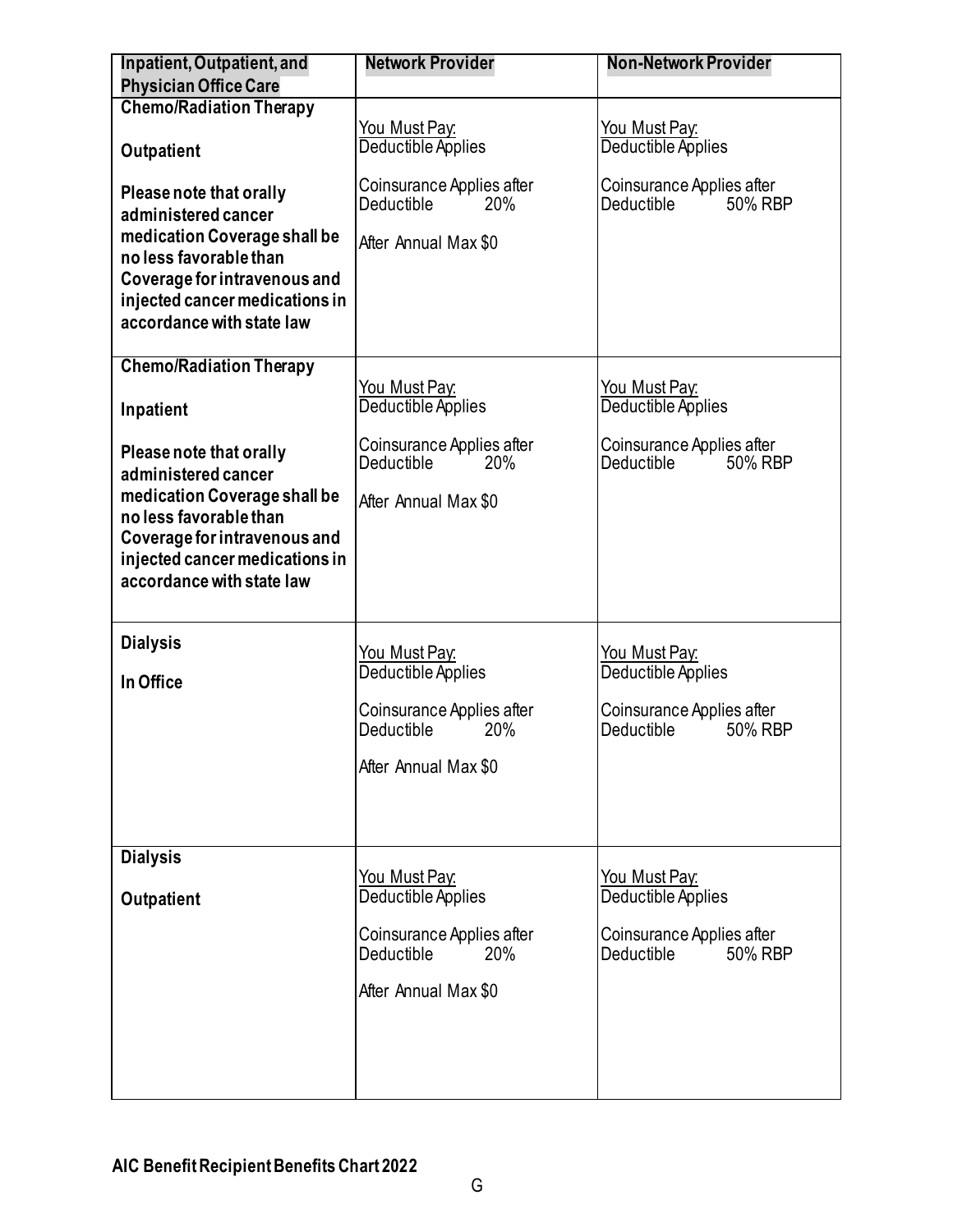<span id="page-9-0"></span>

| Inpatient, Outpatient, and<br><b>Physician Office Care</b>                                                                                                                                              | <b>Network Provider</b>                                                | <b>Non-Network Provider</b>                        |
|---------------------------------------------------------------------------------------------------------------------------------------------------------------------------------------------------------|------------------------------------------------------------------------|----------------------------------------------------|
| <b>Chemo/Radiation Therapy</b>                                                                                                                                                                          |                                                                        |                                                    |
|                                                                                                                                                                                                         | <u>You Must Pay:</u>                                                   | <u>You Must Pay:</u>                               |
| Outpatient                                                                                                                                                                                              | Deductible Applies                                                     | Deductible Applies                                 |
| Please note that orally<br>administered cancer<br>medication Coverage shall be<br>no less favorable than<br>Coverage for intravenous and<br>injected cancer medications in<br>accordance with state law | Coinsurance Applies after<br>Deductible<br>20%<br>After Annual Max \$0 | Coinsurance Applies after<br>Deductible<br>50% RBP |
|                                                                                                                                                                                                         |                                                                        |                                                    |
| <b>Chemo/Radiation Therapy</b>                                                                                                                                                                          |                                                                        |                                                    |
|                                                                                                                                                                                                         | You Must Pay.                                                          | You Must Pay:                                      |
| Inpatient                                                                                                                                                                                               | Deductible Applies                                                     | Deductible Applies                                 |
| Please note that orally<br>administered cancer<br>medication Coverage shall be<br>no less favorable than<br>Coverage for intravenous and<br>injected cancer medications in<br>accordance with state law | Coinsurance Applies after<br>Deductible<br>20%<br>After Annual Max \$0 | Coinsurance Applies after<br>Deductible<br>50% RBP |
| <b>Dialysis</b>                                                                                                                                                                                         | You Must Pay:                                                          | You Must Pay:                                      |
| In Office                                                                                                                                                                                               | Deductible Applies                                                     | Deductible Applies                                 |
|                                                                                                                                                                                                         | Coinsurance Applies after<br>Deductible<br>20%                         | Coinsurance Applies after<br>Deductible<br>50% RBP |
|                                                                                                                                                                                                         | After Annual Max \$0                                                   |                                                    |
|                                                                                                                                                                                                         |                                                                        |                                                    |
| <b>Dialysis</b>                                                                                                                                                                                         |                                                                        |                                                    |
| <b>Outpatient</b>                                                                                                                                                                                       | <u>You Must Pay:</u><br>Deductible Applies                             | <u>You Must Pay:</u><br>Deductible Applies         |
|                                                                                                                                                                                                         | Coinsurance Applies after<br>Deductible<br>20%                         | Coinsurance Applies after<br>50% RBP<br>Deductible |
|                                                                                                                                                                                                         | After Annual Max \$0                                                   |                                                    |
|                                                                                                                                                                                                         |                                                                        |                                                    |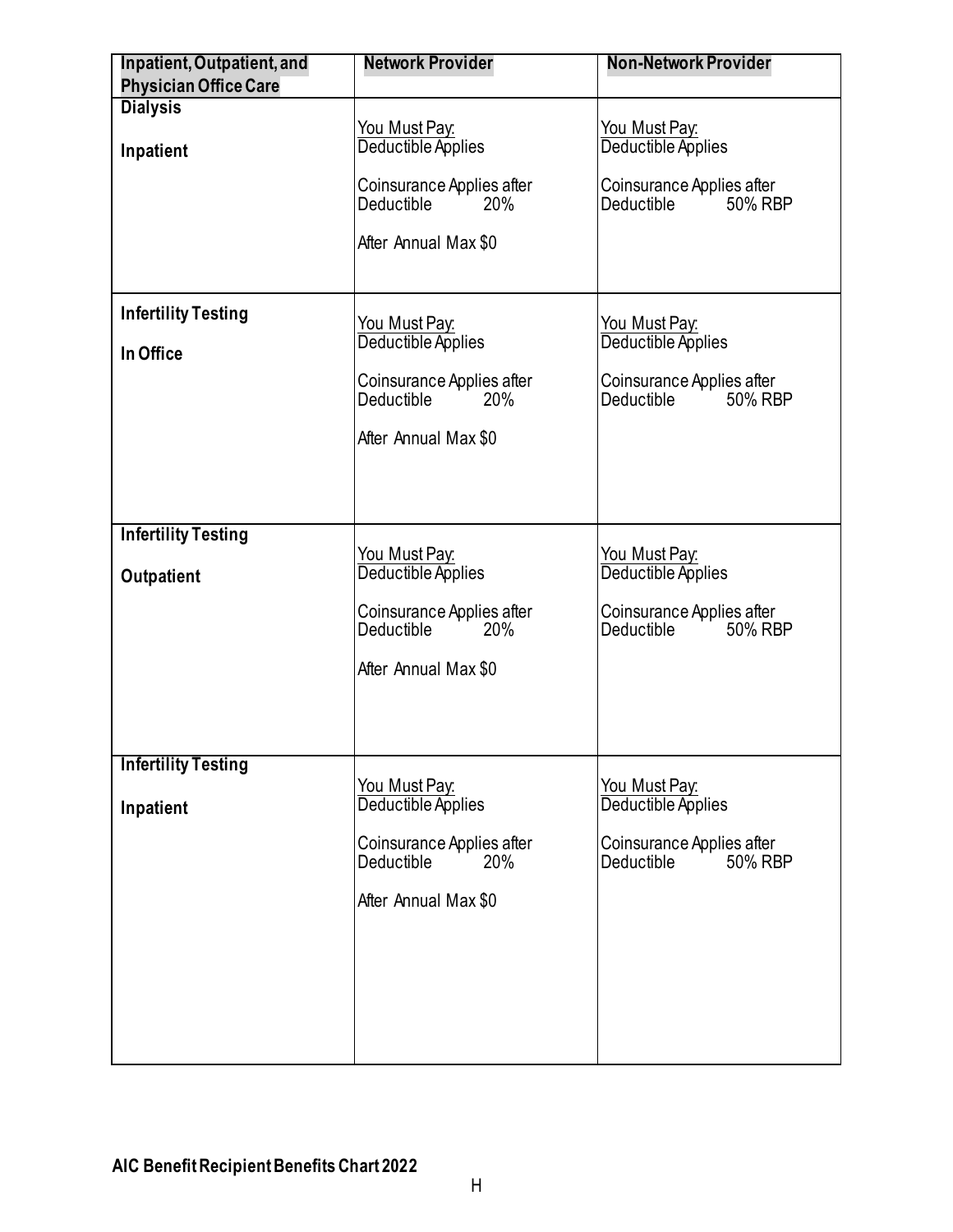<span id="page-10-0"></span>

| Inpatient, Outpatient, and              | <b>Network Provider</b>                                                 | <b>Non-Network Provider</b>                                      |
|-----------------------------------------|-------------------------------------------------------------------------|------------------------------------------------------------------|
| <b>Physician Office Care</b>            |                                                                         |                                                                  |
| <b>Dialysis</b><br>Inpatient            | <u>You Must Pay:</u><br>Deductible Applies<br>Coinsurance Applies after | You Must Pay:<br>Deductible Applies<br>Coinsurance Applies after |
|                                         | Deductible<br>20%<br>After Annual Max \$0                               | Deductible <sup>''</sup><br>50% RBP                              |
| <b>Infertility Testing</b><br>In Office | <b>You Must Pay:</b><br>Deductible Applies                              | <u>You Must Pay:</u><br>Deductible Applies                       |
|                                         | Coinsurance Applies after<br>Deductible<br>20%<br>After Annual Max \$0  | Coinsurance Applies after<br>Deductible in<br>50% RBP            |
| <b>Infertility Testing</b>              | You Must Pay:                                                           | <u>You Must Pay:</u>                                             |
| Outpatient                              | Deductible Applies                                                      | Deductible Applies                                               |
|                                         | Coinsurance Applies after<br>Deductible<br>20%<br>After Annual Max \$0  | Coinsurance Applies after<br>Deductible<br>50% RBP               |
|                                         |                                                                         |                                                                  |
| <b>Infertility Testing</b>              |                                                                         |                                                                  |
| Inpatient                               | You Must Pay:<br>Deductible Applies                                     | You Must Pay:<br>Deductible Applies                              |
|                                         | Coinsurance Applies after<br>Deductible<br>20%                          | Coinsurance Applies after<br>Deductible<br>50% RBP               |
|                                         | After Annual Max \$0                                                    |                                                                  |
|                                         |                                                                         |                                                                  |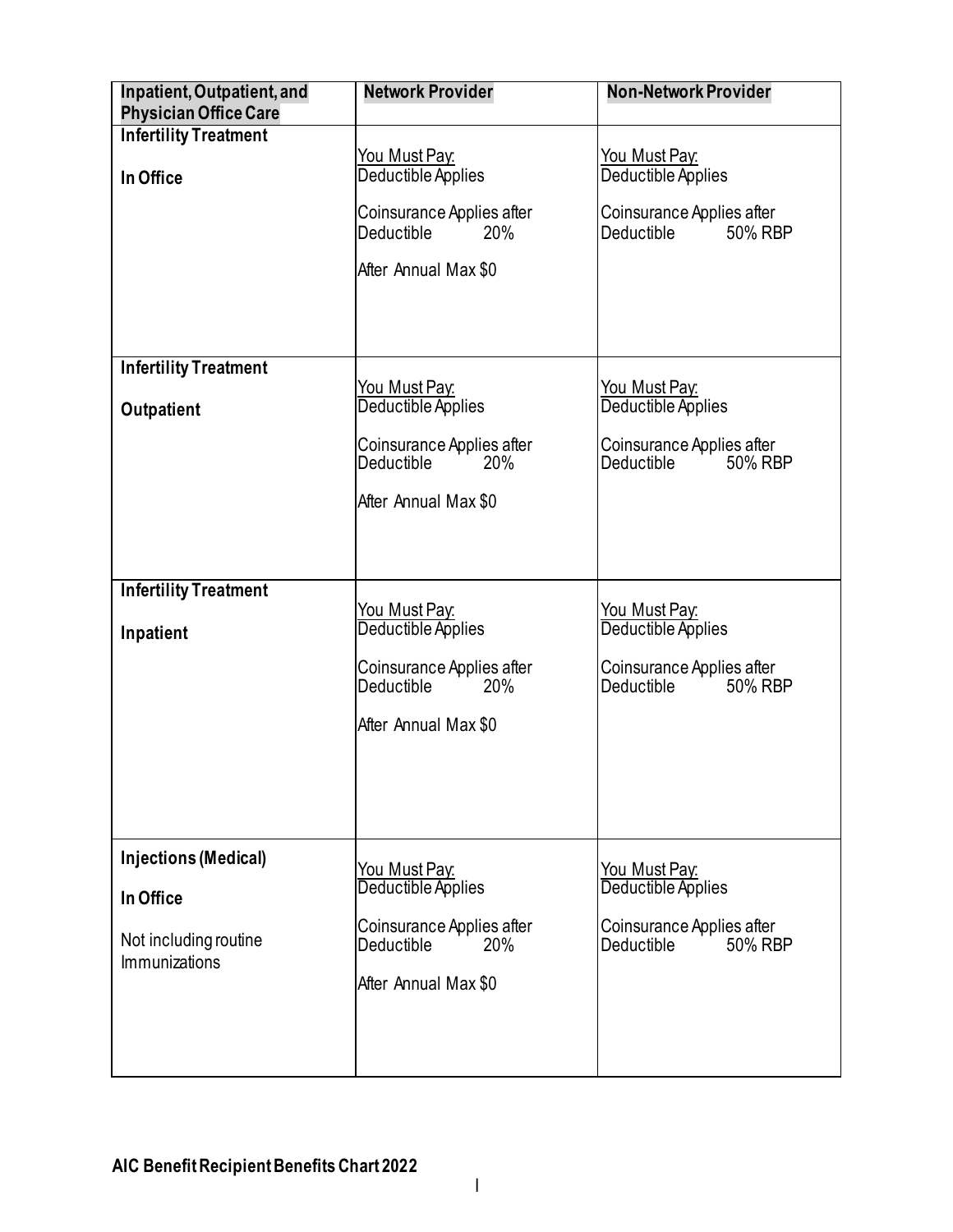<span id="page-11-1"></span><span id="page-11-0"></span>

| Inpatient, Outpatient, and<br><b>Physician Office Care</b> | <b>Network Provider</b>             | <b>Non-Network Provider</b> |
|------------------------------------------------------------|-------------------------------------|-----------------------------|
| <b>Infertility Treatment</b>                               |                                     |                             |
|                                                            | <u>You Must Pay:</u>                | <u>You Must Pay:</u>        |
| In Office                                                  | Deductible Applies                  | Deductible Applies          |
|                                                            |                                     |                             |
|                                                            | Coinsurance Applies after           | Coinsurance Applies after   |
|                                                            | Deductible<br>20%                   | 50% RBP<br>Deductible       |
|                                                            |                                     |                             |
|                                                            | After Annual Max \$0                |                             |
|                                                            |                                     |                             |
|                                                            |                                     |                             |
|                                                            |                                     |                             |
|                                                            |                                     |                             |
| <b>Infertility Treatment</b>                               |                                     |                             |
|                                                            |                                     | <u>You Must Pay:</u>        |
| Outpatient                                                 | You Must Pay:<br>Deductible Applies | Deductible Applies          |
|                                                            |                                     |                             |
|                                                            | Coinsurance Applies after           | Coinsurance Applies after   |
|                                                            | Deductible in<br>20%                | Deductible in<br>50% RBP    |
|                                                            |                                     |                             |
|                                                            | After Annual Max \$0                |                             |
|                                                            |                                     |                             |
|                                                            |                                     |                             |
|                                                            |                                     |                             |
| <b>Infertility Treatment</b>                               |                                     |                             |
|                                                            | You Must Pay:                       | <u>You Must Pay:</u>        |
| Inpatient                                                  | Deductible Applies                  | Deductible Applies          |
|                                                            |                                     |                             |
|                                                            | Coinsurance Applies after           | Coinsurance Applies after   |
|                                                            | Deductible in<br>20%                | Deductible in<br>50% RBP    |
|                                                            |                                     |                             |
|                                                            | After Annual Max \$0                |                             |
|                                                            |                                     |                             |
|                                                            |                                     |                             |
|                                                            |                                     |                             |
|                                                            |                                     |                             |
|                                                            |                                     |                             |
| Injections (Medical)                                       |                                     |                             |
|                                                            | <u> You Must Pay:</u>               | <u>You Must Pay:</u>        |
| In Office                                                  | Deductible Applies                  | Deductible Applies          |
|                                                            |                                     |                             |
| Not including routine                                      | Coinsurance Applies after           | Coinsurance Applies after   |
| <b>Immunizations</b>                                       | <b>Deductible</b><br>20%            | Deductible<br>50% RBP       |
|                                                            | After Annual Max \$0                |                             |
|                                                            |                                     |                             |
|                                                            |                                     |                             |
|                                                            |                                     |                             |
|                                                            |                                     |                             |
|                                                            |                                     |                             |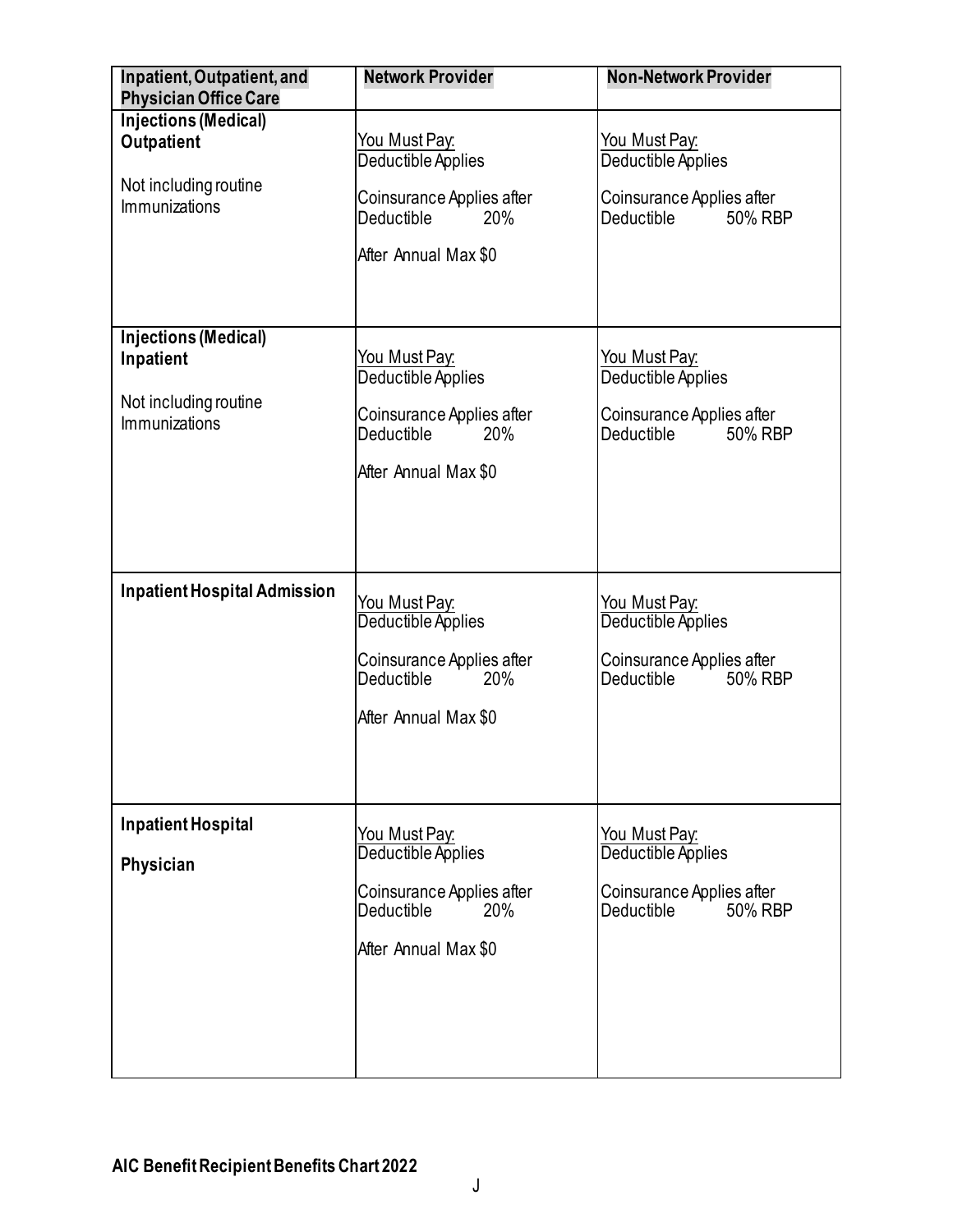<span id="page-12-2"></span><span id="page-12-1"></span><span id="page-12-0"></span>

| Inpatient, Outpatient, and<br><b>Physician Office Care</b> | <b>Network Provider</b>   | <b>Non-Network Provider</b>         |
|------------------------------------------------------------|---------------------------|-------------------------------------|
| <b>Injections (Medical)</b>                                |                           |                                     |
| <b>Outpatient</b>                                          | <u>You Must Pay:</u>      | You Must Pay:                       |
|                                                            | Deductible Applies        | Deductible Applies                  |
| Not including routine                                      |                           |                                     |
| <b>Immunizations</b>                                       | Coinsurance Applies after | Coinsurance Applies after           |
|                                                            | Deductible<br>20%         | Deductible<br>50% RBP               |
|                                                            | After Annual Max \$0      |                                     |
|                                                            |                           |                                     |
|                                                            |                           |                                     |
|                                                            |                           |                                     |
| <b>Injections (Medical)</b>                                |                           |                                     |
| Inpatient                                                  | <u>You Must Pay:</u>      | You Must Pay:                       |
|                                                            | Deductible Applies        | Deductible Applies                  |
| Not including routine                                      | Coinsurance Applies after | Coinsurance Applies after           |
| <b>Immunizations</b>                                       | 20%<br>Deductible         | 50% RBP<br>Deductible               |
|                                                            |                           |                                     |
|                                                            | After Annual Max \$0      |                                     |
|                                                            |                           |                                     |
|                                                            |                           |                                     |
|                                                            |                           |                                     |
|                                                            |                           |                                     |
| <b>Inpatient Hospital Admission</b>                        | <u>You Must Pay:</u>      |                                     |
|                                                            | Deductible Applies        | You Must Pay:<br>Deductible Applies |
|                                                            |                           |                                     |
|                                                            | Coinsurance Applies after | Coinsurance Applies after           |
|                                                            | Deductible<br>20%         | <b>Deductible</b><br>50% RBP        |
|                                                            | After Annual Max \$0      |                                     |
|                                                            |                           |                                     |
|                                                            |                           |                                     |
|                                                            |                           |                                     |
|                                                            |                           |                                     |
| Inpatient Hospital                                         | You Must Pay:             | <u>You Must Pay:</u>                |
|                                                            | Deductible Applies        | Deductible Applies                  |
| Physician                                                  |                           |                                     |
|                                                            | Coinsurance Applies after | Coinsurance Applies after           |
|                                                            | Deductible<br>20%         | Deductible<br>50% RBP               |
|                                                            | After Annual Max \$0      |                                     |
|                                                            |                           |                                     |
|                                                            |                           |                                     |
|                                                            |                           |                                     |
|                                                            |                           |                                     |
|                                                            |                           |                                     |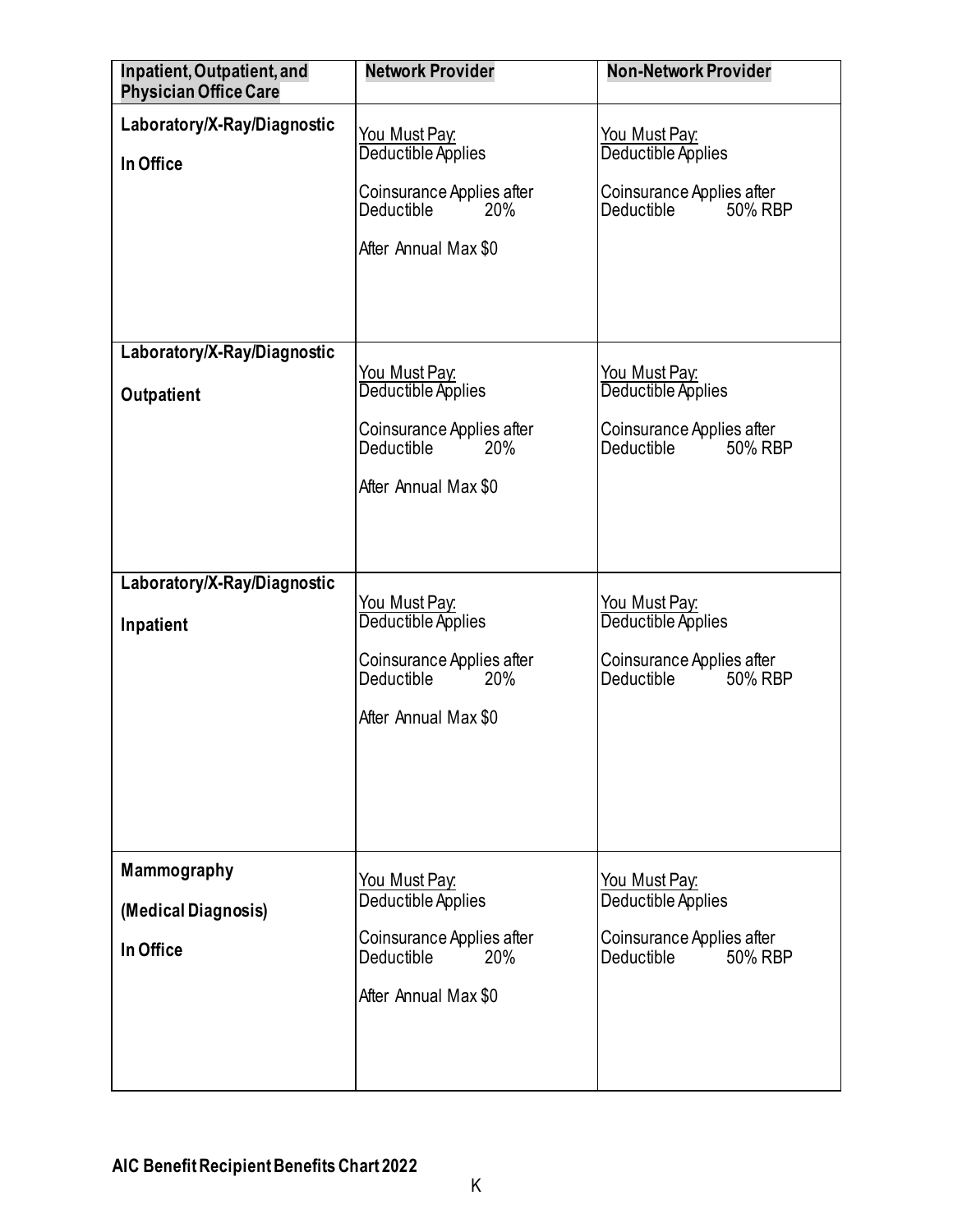<span id="page-13-2"></span><span id="page-13-1"></span><span id="page-13-0"></span>

| Inpatient, Outpatient, and<br><b>Physician Office Care</b> | <b>Network Provider</b>                                                                                              | <b>Non-Network Provider</b>                                                                             |
|------------------------------------------------------------|----------------------------------------------------------------------------------------------------------------------|---------------------------------------------------------------------------------------------------------|
| Laboratory/X-Ray/Diagnostic<br>In Office                   | You Must Pay:<br>Deductible Applies<br>Coinsurance Applies after<br>Deductible<br>20%<br>After Annual Max \$0        | <u>You Must Pay:</u><br>Deductible Applies<br>Coinsurance Applies after<br>Deductible in<br>50% RBP     |
| Laboratory/X-Ray/Diagnostic<br>Outpatient                  | <u>You Must Pay:</u><br>Deductible Applies<br>Coinsurance Applies after<br>Deductible<br>20%<br>After Annual Max \$0 | You Must Pay.<br>Deductible Applies<br>Coinsurance Applies after<br>Deductible in<br>50% RBP            |
| Laboratory/X-Ray/Diagnostic<br>Inpatient                   | You Must Pay:<br>Deductible Applies<br>Coinsurance Applies after<br>Deductible<br>20%<br>After Annual Max \$0        | <u>You Must Pay:</u><br>Deductible Applies<br>Coinsurance Applies after<br><b>Deductible</b><br>50% RBP |
| <b>Mammography</b><br>(Medical Diagnosis)<br>In Office     | You Must Pay:<br>Deductible Applies<br>Coinsurance Applies after<br>20%<br>Deductible<br>After Annual Max \$0        | You Must Pay:<br>Deductible Applies<br>Coinsurance Applies after<br>50% RBP<br><b>Deductible</b>        |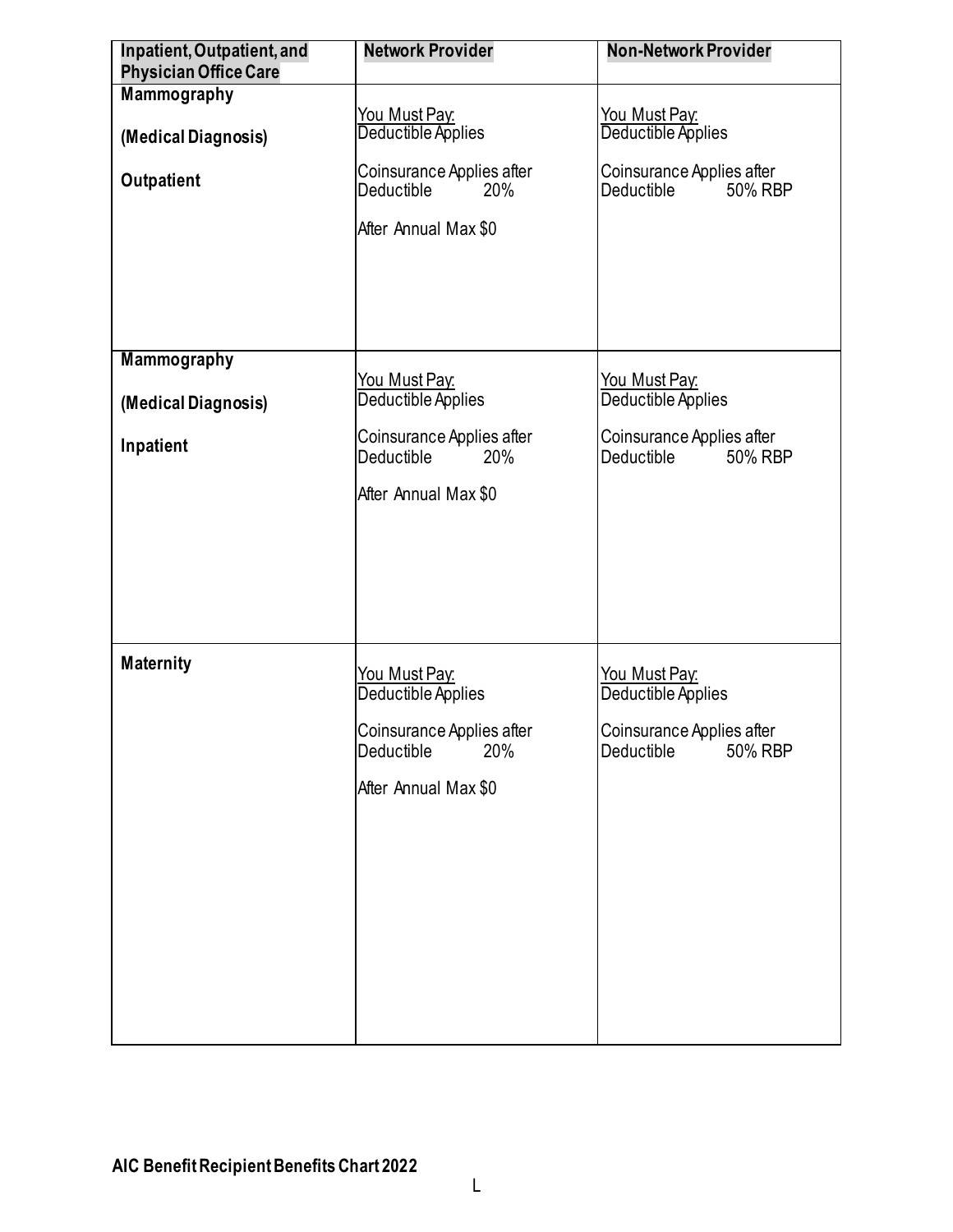<span id="page-14-0"></span>

| Inpatient, Outpatient, and                | <b>Network Provider</b>                        | <b>Non-Network Provider</b>                                     |
|-------------------------------------------|------------------------------------------------|-----------------------------------------------------------------|
| <b>Physician Office Care</b>              |                                                |                                                                 |
| Mammography                               |                                                |                                                                 |
| (Medical Diagnosis)                       | You Must Pay:<br>Deductible Applies            | You Must Pay:<br>Deductible Applies                             |
| Outpatient                                | Coinsurance Applies after<br>Deductible<br>20% | Coinsurance Applies after<br>Deductible in<br>50% RBP           |
|                                           | After Annual Max \$0                           |                                                                 |
|                                           |                                                |                                                                 |
|                                           |                                                |                                                                 |
| <b>Mammography</b><br>(Medical Diagnosis) | <u>You Must Pay:</u><br>Deductible Applies     | You Must Pay:<br>Deductible Applies                             |
|                                           |                                                |                                                                 |
| Inpatient                                 | Coinsurance Applies after<br>Deductible<br>20% | Coinsurance Applies after<br>Deductible <sup>1</sup><br>50% RBP |
|                                           | After Annual Max \$0                           |                                                                 |
|                                           |                                                |                                                                 |
|                                           |                                                |                                                                 |
|                                           |                                                |                                                                 |
| <b>Maternity</b>                          | <u>You Must Pay:</u><br>Deductible Applies     | You Must Pay:<br>Deductible Applies                             |
|                                           | Coinsurance Applies after<br>Deductible<br>20% | Coinsurance Applies after<br>50% RBP<br>Deductible              |
|                                           | After Annual Max \$0                           |                                                                 |
|                                           |                                                |                                                                 |
|                                           |                                                |                                                                 |
|                                           |                                                |                                                                 |
|                                           |                                                |                                                                 |
|                                           |                                                |                                                                 |
|                                           |                                                |                                                                 |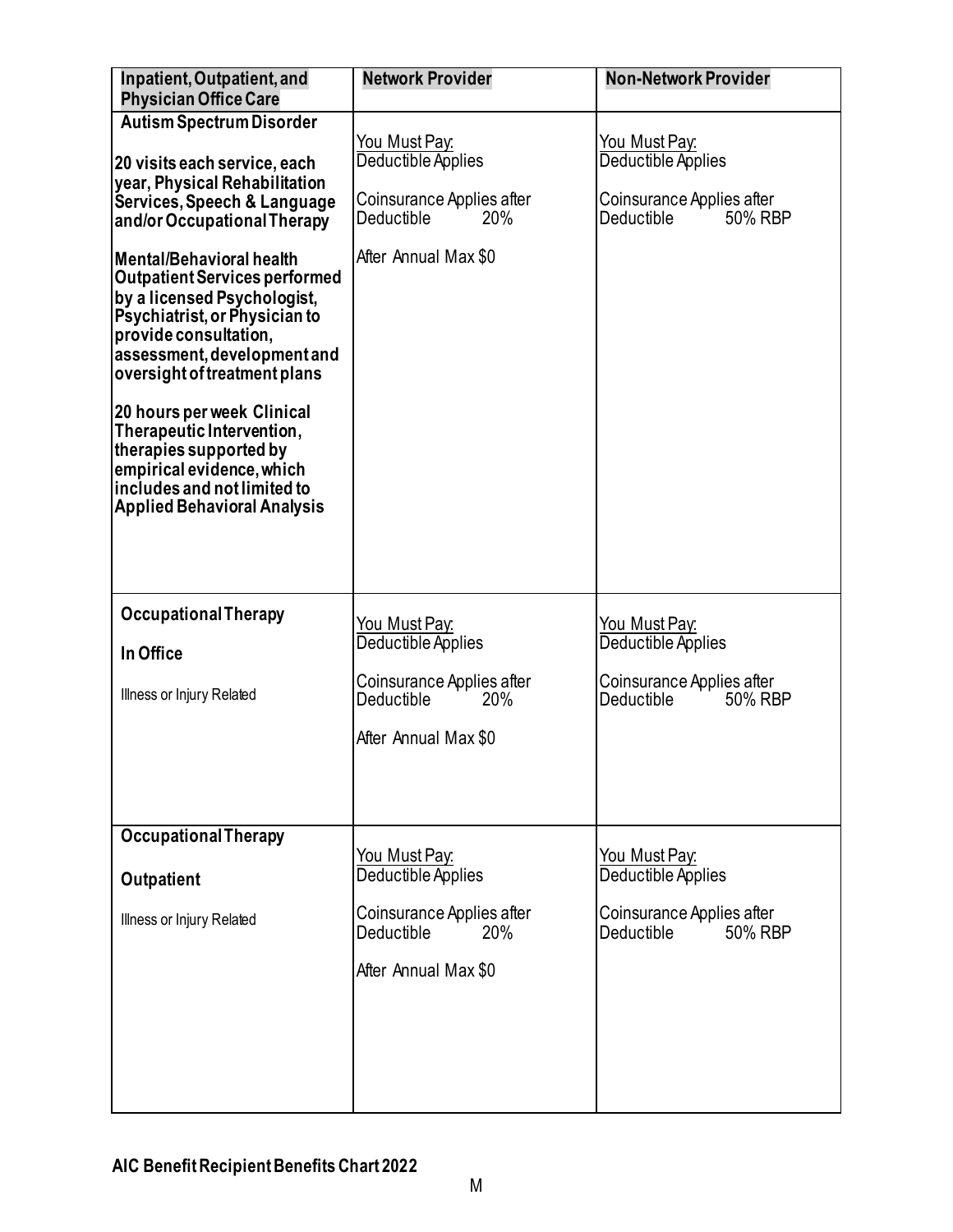<span id="page-15-0"></span>

| Inpatient, Outpatient, and<br><b>Physician Office Care</b>                                                                                                                                                                                                                                                                                                                                                                                                                                                                                                                               | <b>Network Provider</b>                                                                                              | <b>Non-Network Provider</b>                                                                      |
|------------------------------------------------------------------------------------------------------------------------------------------------------------------------------------------------------------------------------------------------------------------------------------------------------------------------------------------------------------------------------------------------------------------------------------------------------------------------------------------------------------------------------------------------------------------------------------------|----------------------------------------------------------------------------------------------------------------------|--------------------------------------------------------------------------------------------------|
| <b>Autism Spectrum Disorder</b><br>20 visits each service, each<br>year, Physical Rehabilitation<br>Services, Speech & Language<br>and/or Occupational Therapy<br><b>Mental/Behavioral health</b><br><b>Outpatient Services performed</b><br>by a licensed Psychologist,<br>Psychiatrist, or Physician to<br>provide consultation,<br>assessment, development and<br>oversight of treatment plans<br>20 hours per week Clinical<br>Therapeutic Intervention,<br>therapies supported by<br>empirical evidence, which<br>includes and not limited to<br><b>Applied Behavioral Analysis</b> | You Must Pay:<br>Deductible Applies<br>Coinsurance Applies after<br><b>Deductible</b><br>20%<br>After Annual Max \$0 | You Must Pay:<br>Deductible Applies<br>Coinsurance Applies after<br>Deductible<br>50% RBP        |
| <b>Occupational Therapy</b><br>In Office<br>Illness or Injury Related                                                                                                                                                                                                                                                                                                                                                                                                                                                                                                                    | <u>You Must Pay:</u><br>Deductible Applies<br>Coinsurance Applies after<br>Deductible<br>20%<br>After Annual Max \$0 | <u>You Must Pay:</u><br>Deductible Applies<br>Coinsurance Applies after<br>Deductible<br>50% RBP |
| <b>Occupational Therapy</b><br>Outpatient<br>Illness or Injury Related                                                                                                                                                                                                                                                                                                                                                                                                                                                                                                                   | You Must Pay:<br>Deductible Applies<br>Coinsurance Applies after<br>Deductible<br><b>20%</b><br>After Annual Max \$0 | You Must Pay:<br>Deductible Applies<br>Coinsurance Applies after<br><b>Deductible</b><br>50% RBP |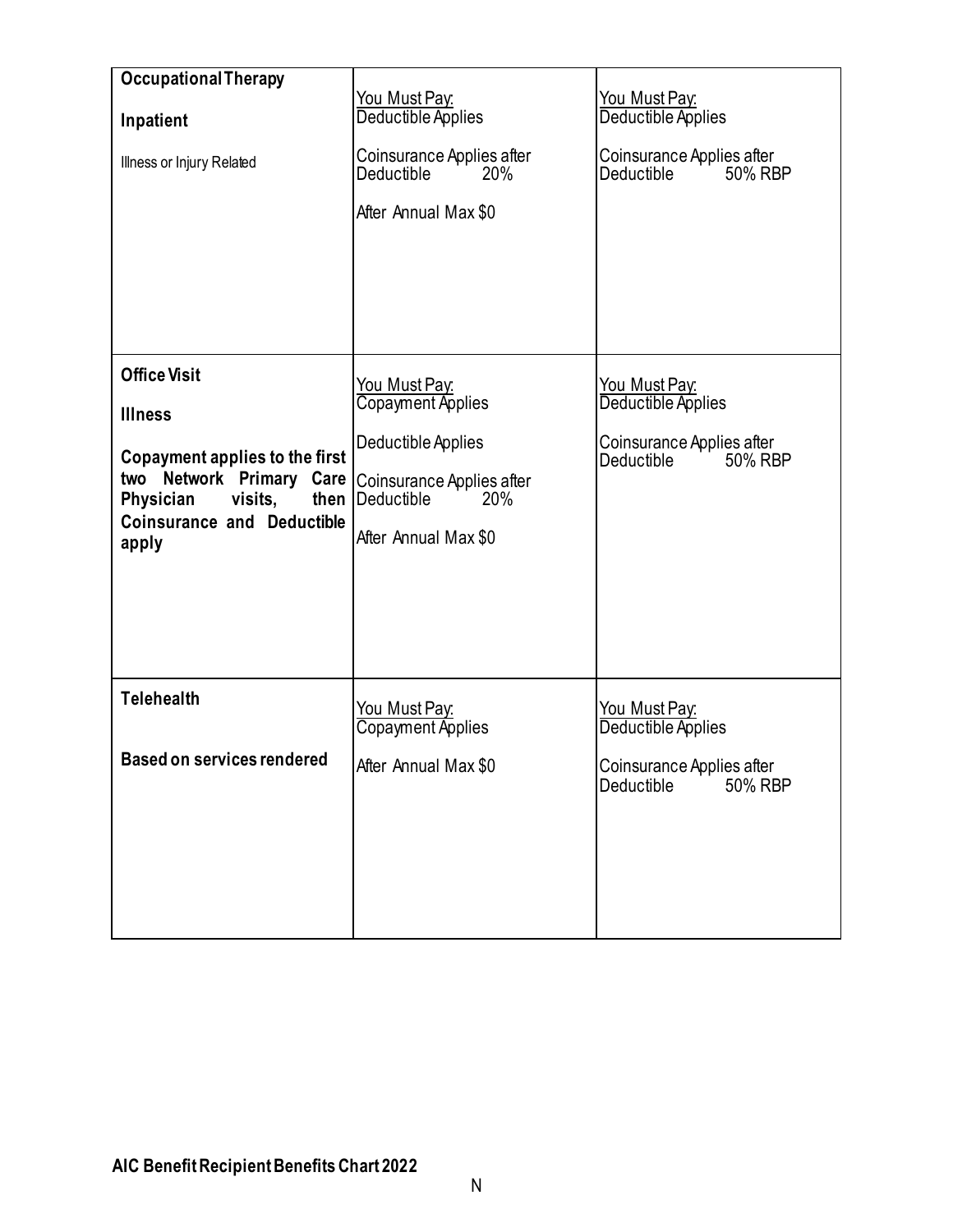<span id="page-16-1"></span><span id="page-16-0"></span>

| <b>Occupational Therapy</b>                                                                                                                                                       |                                                                                                                                                   |                                                                                                  |
|-----------------------------------------------------------------------------------------------------------------------------------------------------------------------------------|---------------------------------------------------------------------------------------------------------------------------------------------------|--------------------------------------------------------------------------------------------------|
| Inpatient<br>Illness or Injury Related                                                                                                                                            | <u>You Must Pay:</u><br>Deductible Applies<br>Coinsurance Applies after<br>20%<br><b>Deductible</b><br>After Annual Max \$0                       | You Must Pay:<br>Deductible Applies<br>Coinsurance Applies after<br>50% RBP<br>Deductible in     |
| <b>Office Visit</b><br><b>Illness</b><br>Copayment applies to the first<br>two Network Primary Care<br>Physician<br>visits,<br>then<br><b>Coinsurance and Deductible</b><br>apply | <u>You Must Pay:</u><br>Copayment Applies<br>Deductible Applies<br>Coinsurance Applies after<br>$\sim 20\%$<br>Deductible<br>After Annual Max \$0 | You Must Pay:<br>Deductible Applies<br>Coinsurance Applies after<br>Deductible 50% RBP           |
| <b>Telehealth</b><br><b>Based on services rendered</b>                                                                                                                            | <u>You Must Pay:</u><br>Copayment Applies<br>After Annual Max \$0                                                                                 | <u>You Must Pay:</u><br>Deductible Applies<br>Coinsurance Applies after<br>Deductible<br>50% RBP |
|                                                                                                                                                                                   |                                                                                                                                                   |                                                                                                  |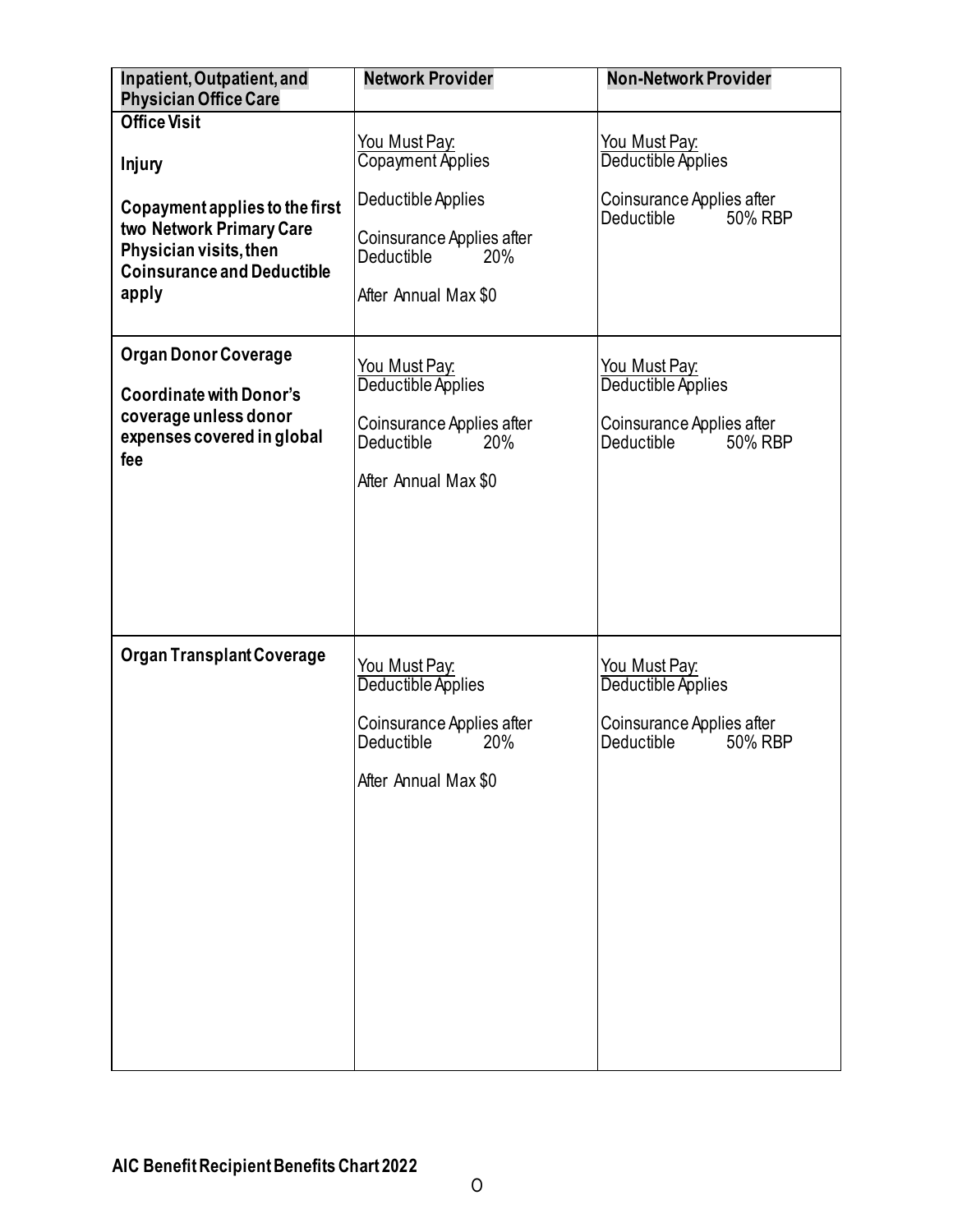<span id="page-17-1"></span><span id="page-17-0"></span>

| Inpatient, Outpatient, and                                                                                                         | <b>Network Provider</b>                                                                                       | <b>Non-Network Provider</b>                                                                        |
|------------------------------------------------------------------------------------------------------------------------------------|---------------------------------------------------------------------------------------------------------------|----------------------------------------------------------------------------------------------------|
| <b>Physician Office Care</b><br><b>Office Visit</b>                                                                                |                                                                                                               |                                                                                                    |
| Injury                                                                                                                             | You Must Pay:<br>Copayment Applies                                                                            | <u>You Must Pay:</u><br>Deductible Applies                                                         |
| Copayment applies to the first<br>two Network Primary Care<br>Physician visits, then<br><b>Coinsurance and Deductible</b><br>apply | Deductible Applies<br>Coinsurance Applies after<br>Deductible<br>20%<br>After Annual Max \$0                  | Coinsurance Applies after<br>Deductible<br>50% RBP                                                 |
| <b>Organ Donor Coverage</b><br><b>Coordinate with Donor's</b><br>coverage unless donor<br>expenses covered in global<br>fee        | You Must Pay:<br>Deductible Applies<br>Coinsurance Applies after<br>Deductible<br>20%<br>After Annual Max \$0 | <u> You Must Pay:</u><br>Deductible Applies<br>Coinsurance Applies after<br>Deductible<br>50% RBP  |
| <b>Organ Transplant Coverage</b>                                                                                                   | You Must Pay.<br>Deductible Applies<br>Coinsurance Applies after<br>Deductible<br>20%<br>After Annual Max \$0 | <u>You Must Pay:</u><br>Deductible Applies<br>Coinsurance Applies after<br>Deductible i<br>50% RBP |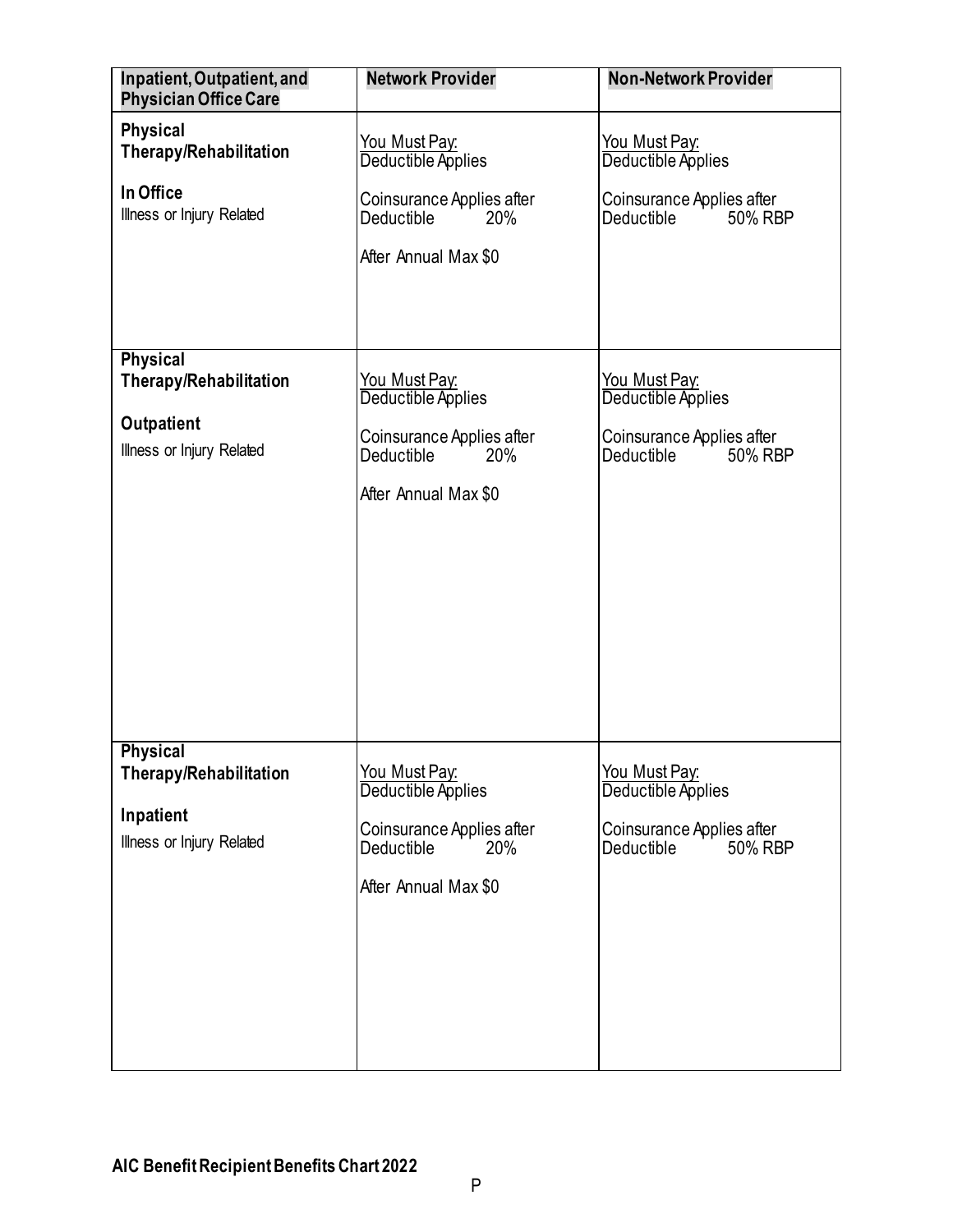<span id="page-18-0"></span>

| Inpatient, Outpatient, and<br><b>Physician Office Care</b>                                  | <b>Network Provider</b>                                                                                                     | <b>Non-Network Provider</b>                                                                      |
|---------------------------------------------------------------------------------------------|-----------------------------------------------------------------------------------------------------------------------------|--------------------------------------------------------------------------------------------------|
| <b>Physical</b><br><b>Therapy/Rehabilitation</b><br>In Office<br>Illness or Injury Related  | You Must Pay:<br>Deductible Applies<br>Coinsurance Applies after<br>Deductible<br>20%<br>After Annual Max \$0               | <u>You Must Pay:</u><br>Deductible Applies<br>Coinsurance Applies after<br>Deductible<br>50% RBP |
| Physical<br><b>Therapy/Rehabilitation</b><br><b>Outpatient</b><br>Illness or Injury Related | <u>You Must Pay:</u><br>Deductible Applies<br>Coinsurance Applies after<br><b>Deductible</b><br>20%<br>After Annual Max \$0 | <u>You Must Pay:</u><br>Deductible Applies<br>Coinsurance Applies after<br>Deductible<br>50% RBP |
| <b>Physical</b><br>Therapy/Rehabilitation<br>Inpatient<br>Illness or Injury Related         | You Must Pay:<br>Deductible Applies<br>Coinsurance Applies after<br>Deductible<br>20%<br>After Annual Max \$0               | You Must Pay:<br>Deductible Applies<br>Coinsurance Applies after<br>Deductible<br>50% RBP        |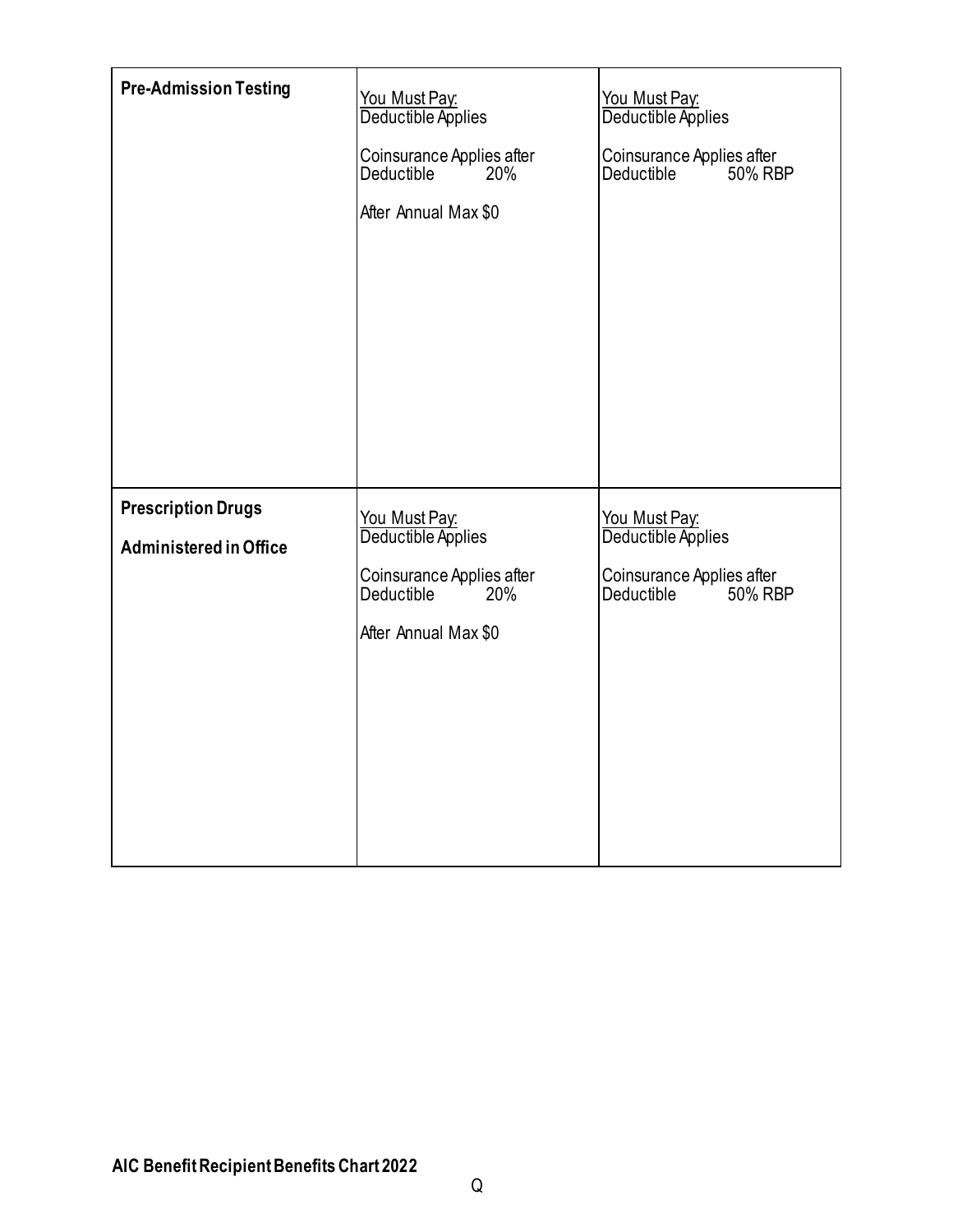<span id="page-19-2"></span><span id="page-19-1"></span><span id="page-19-0"></span>

| <b>Pre-Admission Testing</b>                               | You Must Pay:<br>Deductible Applies<br>Coinsurance Applies after<br><b>Deductible</b><br>20%<br>After Annual Max \$0 | You Must Pay:<br>Deductible Applies<br>Coinsurance Applies after<br>Deductible<br>50% RBP |
|------------------------------------------------------------|----------------------------------------------------------------------------------------------------------------------|-------------------------------------------------------------------------------------------|
| <b>Prescription Drugs</b><br><b>Administered in Office</b> | You Must Pay:<br>Deductible Applies<br>Coinsurance Applies after<br>Deductible<br>20%<br>After Annual Max \$0        | You Must Pay:<br>Deductible Applies<br>Coinsurance Applies after<br>50% RBP<br>Deductible |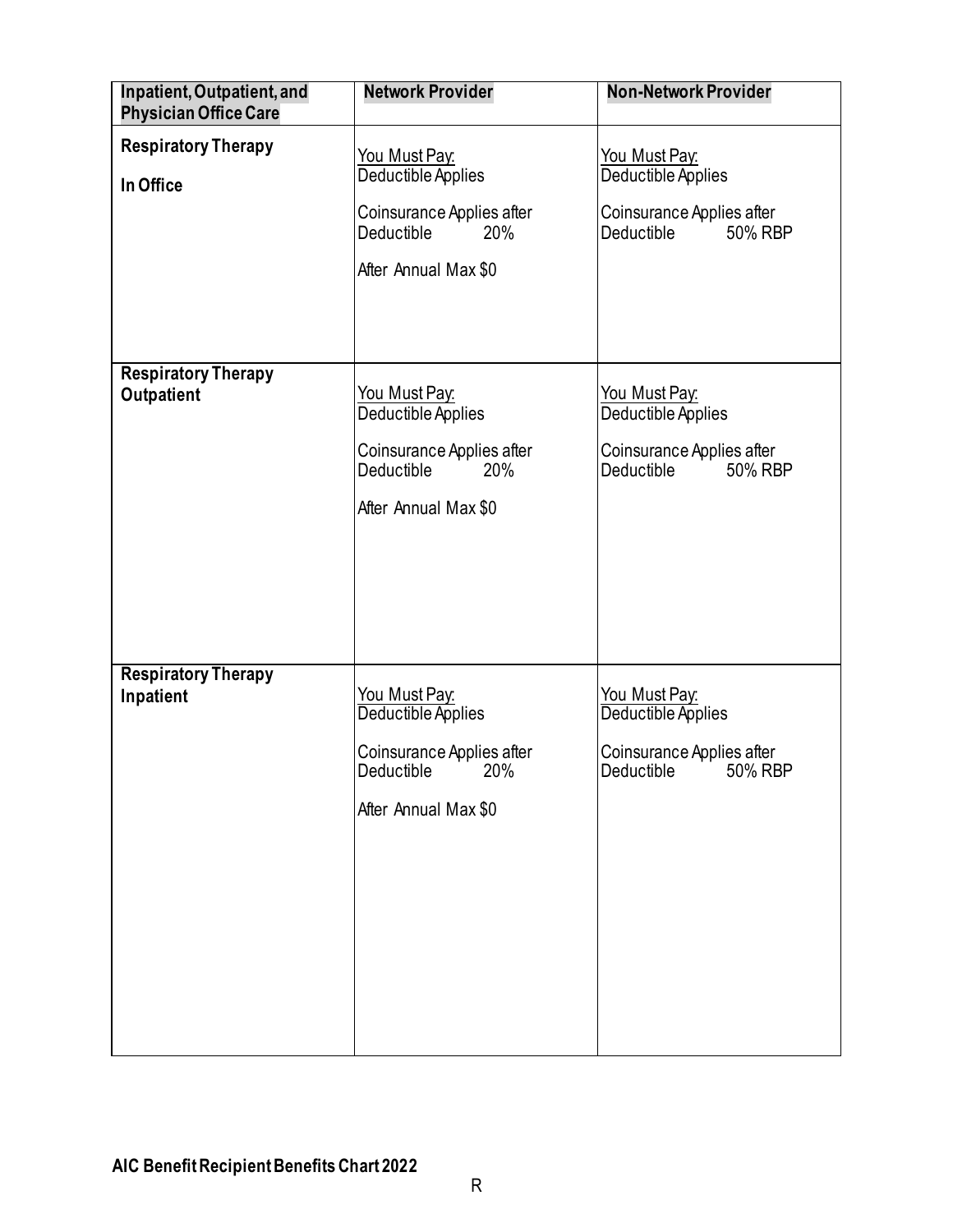<span id="page-20-0"></span>

| Inpatient, Outpatient, and<br><b>Physician Office Care</b> | <b>Network Provider</b>                                                                                              | <b>Non-Network Provider</b>                                                                      |
|------------------------------------------------------------|----------------------------------------------------------------------------------------------------------------------|--------------------------------------------------------------------------------------------------|
| <b>Respiratory Therapy</b><br>In Office                    | <b>You Must Pay:</b><br>Deductible Applies<br>Coinsurance Applies after<br>Deductible<br>20%<br>After Annual Max \$0 | <u>You Must Pay:</u><br>Deductible Applies<br>Coinsurance Applies after<br>Deductible<br>50% RBP |
| <b>Respiratory Therapy</b><br>Outpatient                   | You Must Pay:<br>Deductible Applies<br>Coinsurance Applies after<br>Deductible<br>20%<br>After Annual Max \$0        | You Must Pay:<br>Deductible Applies<br>Coinsurance Applies after<br>Deductible<br>50% RBP        |
| <b>Respiratory Therapy</b><br>Inpatient                    | You Must Pay:<br>Deductible Applies<br>Coinsurance Applies after<br>Deductible 20%<br>After Annual Max \$0           | You Must Pay:<br>Deductible Applies<br>Coinsurance Applies after<br>Deductible 50% RBP           |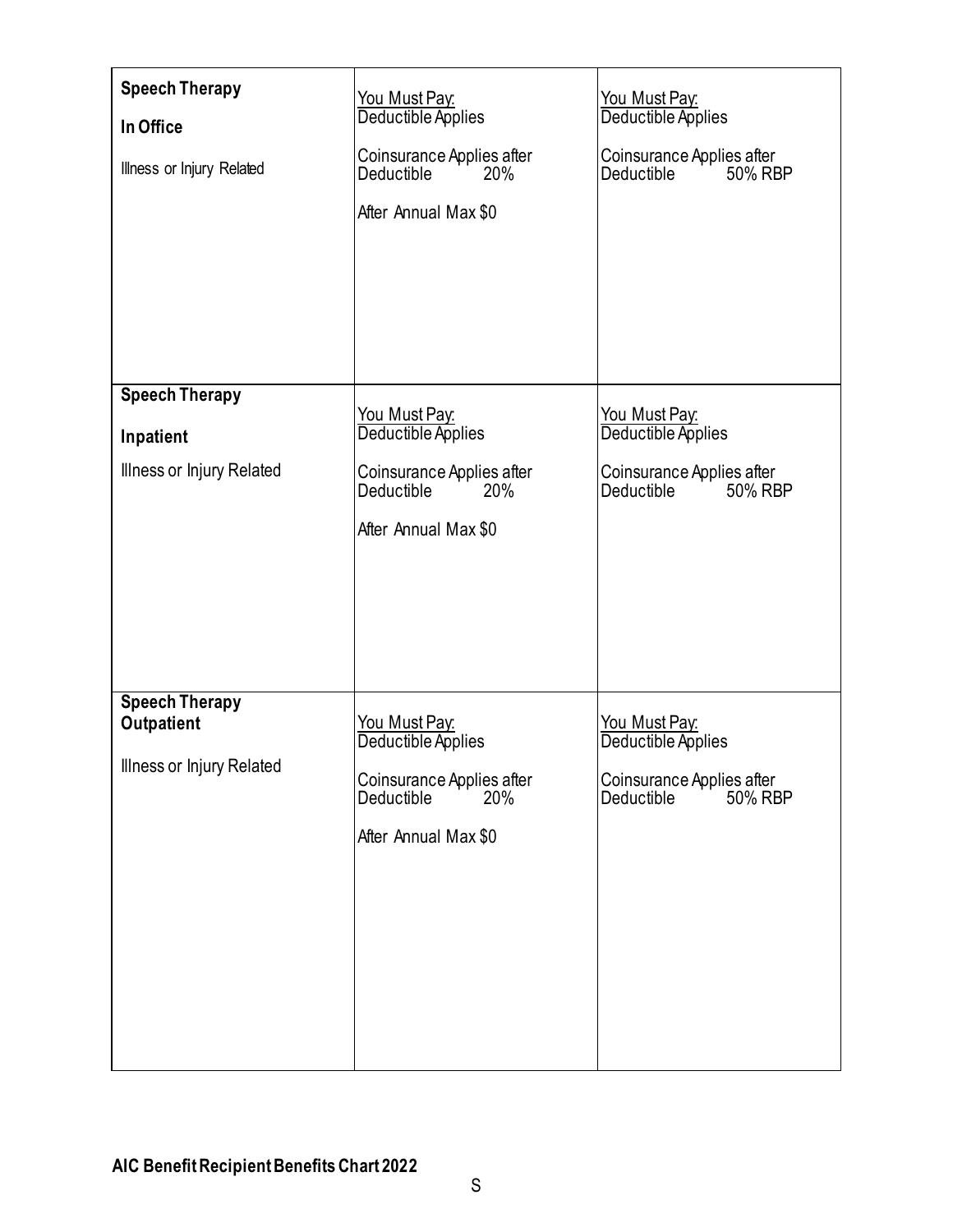<span id="page-21-0"></span>

| <b>Speech Therapy</b><br>In Office<br>Illness or Injury Related | You Must Pay:<br>Deductible Applies<br>Coinsurance Applies after<br>Deductible<br>20%<br>After Annual Max \$0 | You Must Pay:<br>Deductible Applies<br>Coinsurance Applies after<br>Deductible in<br>50% RBP |
|-----------------------------------------------------------------|---------------------------------------------------------------------------------------------------------------|----------------------------------------------------------------------------------------------|
| <b>Speech Therapy</b>                                           |                                                                                                               |                                                                                              |
| Inpatient                                                       | You Must Pay:<br>Deductible Applies                                                                           | You Must Pay:<br>Deductible Applies                                                          |
| Illness or Injury Related                                       | Coinsurance Applies after<br>Deductible<br>20%<br>After Annual Max \$0                                        | Coinsurance Applies after<br>Deductible in<br>50% RBP                                        |
| <b>Speech Therapy</b><br>Outpatient                             | You Must Pay:                                                                                                 | You Must Pay:                                                                                |
| Illness or Injury Related                                       | Deductible Applies<br>Coinsurance Applies after<br>Deductible<br>20%<br>After Annual Max \$0                  | Deductible Applies<br>Coinsurance Applies after<br>50% RBP<br>Deductible                     |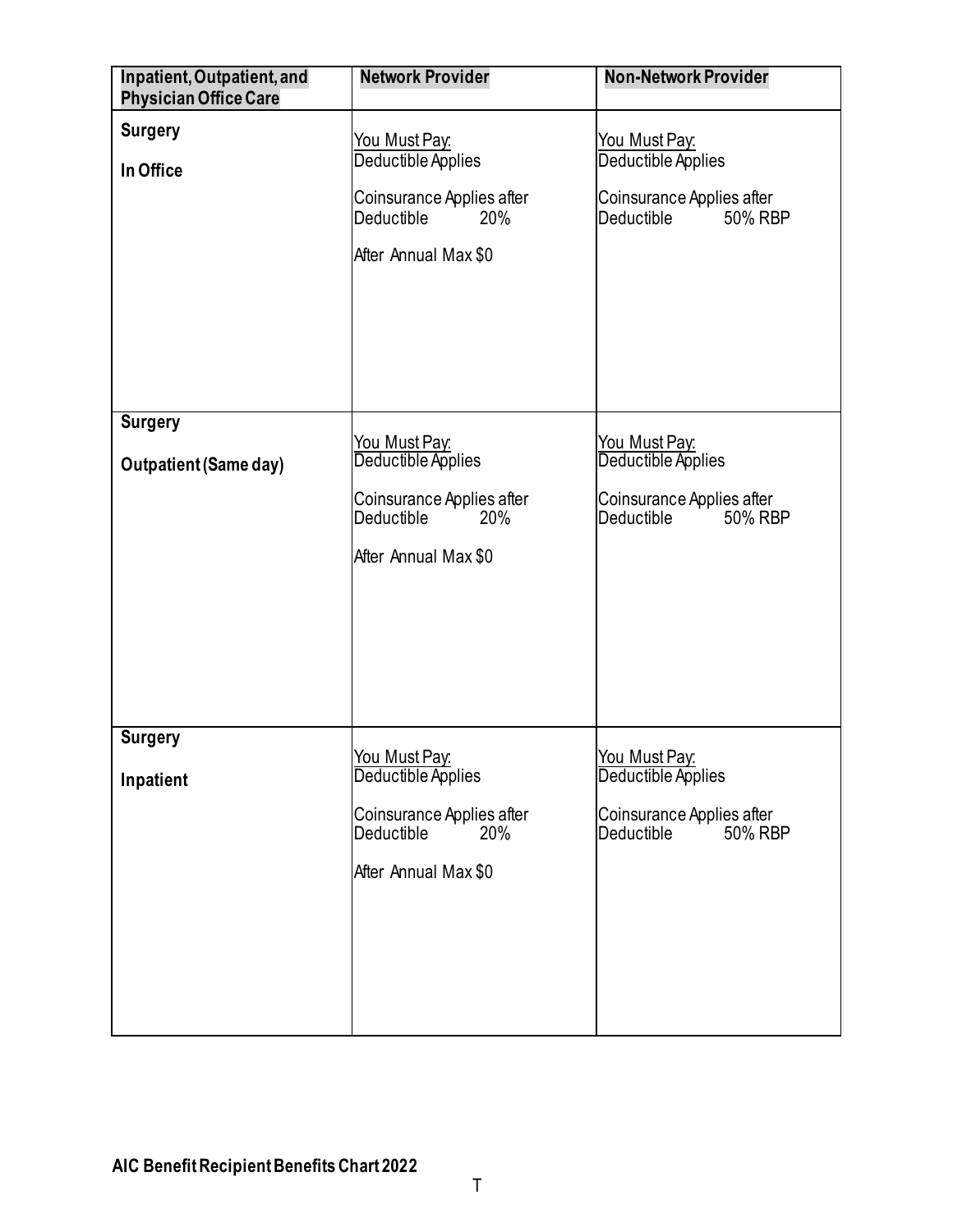<span id="page-22-0"></span>

| Inpatient, Outpatient, and<br><b>Physician Office Care</b> | <b>Network Provider</b>                                                                                              | <b>Non-Network Provider</b>                                                                      |
|------------------------------------------------------------|----------------------------------------------------------------------------------------------------------------------|--------------------------------------------------------------------------------------------------|
| <b>Surgery</b><br>In Office                                | <u>You Must Pay:</u><br>Deductible Applies<br>Coinsurance Applies after<br>Deductible<br>20%<br>After Annual Max \$0 | <u>You Must Pay:</u><br>Deductible Applies<br>Coinsurance Applies after<br>Deductible<br>50% RBP |
| <b>Surgery</b><br><b>Outpatient (Same day)</b>             | <u>You Must Pay:</u><br>Deductible Applies<br>Coinsurance Applies after<br>Deductible<br>20%<br>After Annual Max \$0 | You Must Pay:<br>Deductible Applies<br>Coinsurance Applies after<br>Deductible<br>50% RBP        |
| <b>Surgery</b><br>Inpatient                                | <u>You Must Pay:</u><br>Deductible Applies<br>Coinsurance Applies after<br>Deductible<br>20%<br>After Annual Max \$0 | You Must Pay.<br>Deductible Applies<br>Coinsurance Applies after<br>50% RBP<br><b>Deductible</b> |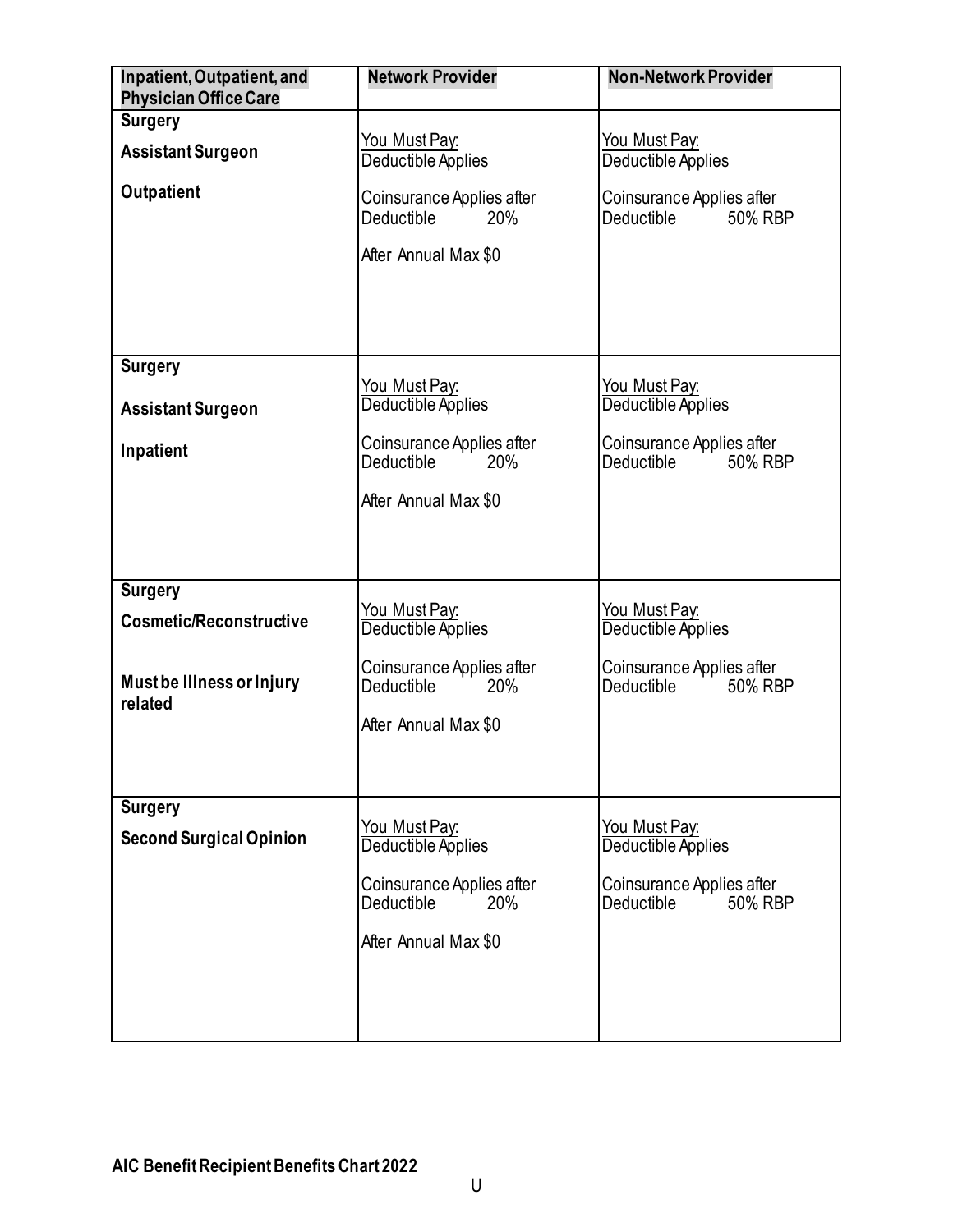<span id="page-23-2"></span><span id="page-23-1"></span><span id="page-23-0"></span>

| Inpatient, Outpatient, and<br><b>Physician Office Care</b> | <b>Network Provider</b>                                                       | <b>Non-Network Provider</b>                               |
|------------------------------------------------------------|-------------------------------------------------------------------------------|-----------------------------------------------------------|
| <b>Surgery</b>                                             |                                                                               |                                                           |
| <b>Assistant Surgeon</b>                                   | <u>You Must Pay:</u><br>Deductible Applies                                    | <u>You Must Pay:</u><br>Deductible Applies                |
| Outpatient                                                 | Coinsurance Applies after<br><b>Deductible</b><br>20%<br>After Annual Max \$0 | Coinsurance Applies after<br>Deductible<br>50% RBP        |
| <b>Surgery</b>                                             |                                                                               |                                                           |
| <b>Assistant Surgeon</b>                                   | <u>You Must Pay:</u><br>Deductible Applies                                    | <u>You Must Pay:</u><br>Deductible Applies                |
| Inpatient                                                  | Coinsurance Applies after<br>Deductible<br>20%                                | Coinsurance Applies after<br>50% RBP<br>Deductible in     |
|                                                            | After Annual Max \$0                                                          |                                                           |
|                                                            |                                                                               |                                                           |
| <b>Surgery</b>                                             |                                                                               |                                                           |
| <b>Cosmetic/Reconstructive</b>                             | <u>You Must Pay:</u><br>Deductible Applies                                    | <u>You Must Pay:</u><br>Deductible Applies                |
| Must be Illness or Injury<br>related                       | Coinsurance Applies after<br>Deductible<br>20%                                | Coinsurance Applies after<br>50% RBP<br>Deductible in     |
|                                                            | After Annual Max \$0                                                          |                                                           |
|                                                            |                                                                               |                                                           |
| <b>Surgery</b>                                             |                                                                               |                                                           |
| <b>Second Surgical Opinion</b>                             | <u>You Must Pay:</u><br>Deductible Applies                                    | You Must Pay:<br>Deductible Applies                       |
|                                                            | Coinsurance Applies after<br>Deductible<br>20%                                | Coinsurance Applies after<br><b>Deductible</b><br>50% RBP |
|                                                            | After Annual Max \$0                                                          |                                                           |
|                                                            |                                                                               |                                                           |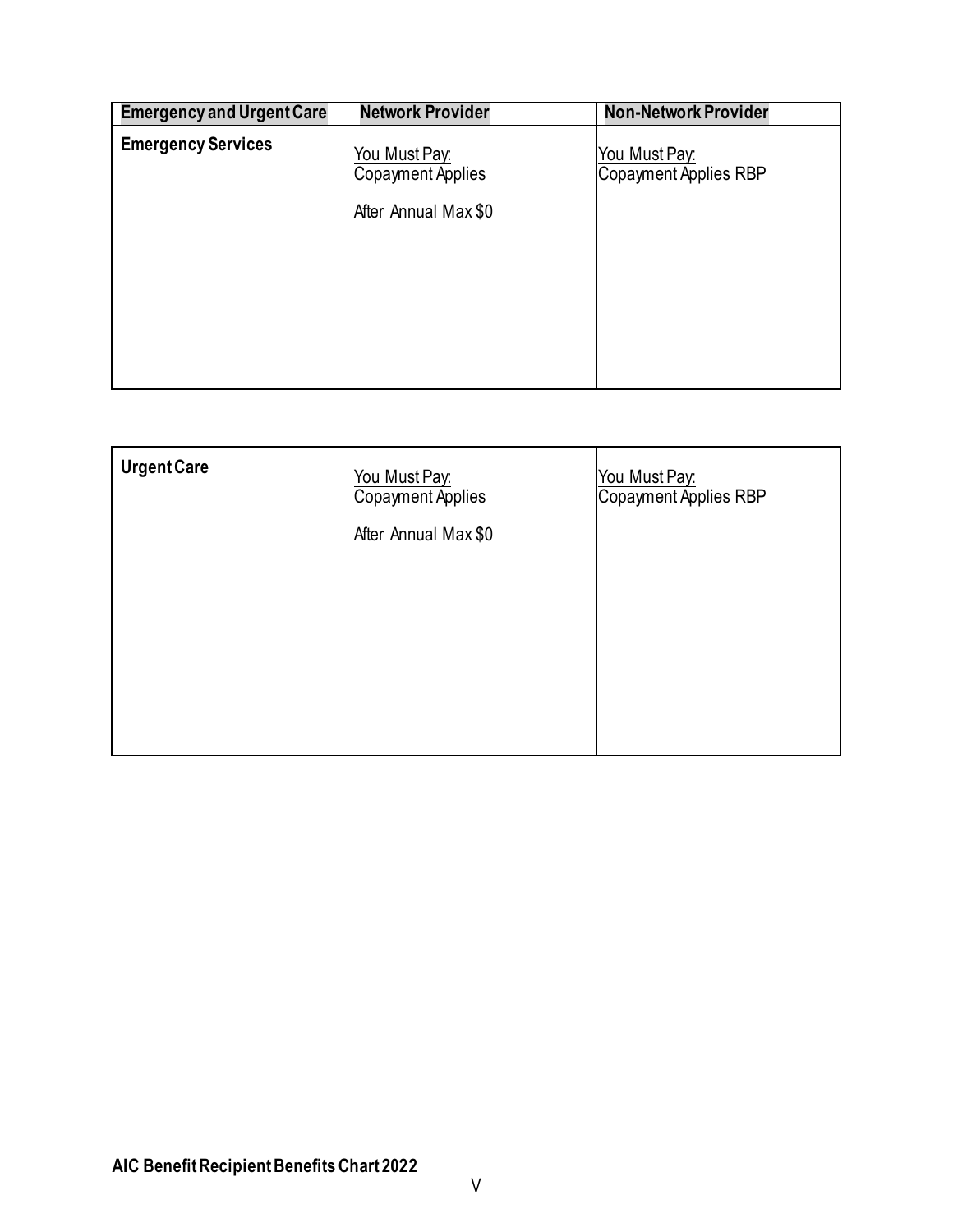<span id="page-24-0"></span>

| <b>Network Provider</b>                   | <b>Non-Network Provider</b>            |
|-------------------------------------------|----------------------------------------|
| You Must Pay:<br><b>Copayment Applies</b> | You Must Pay:<br>Copayment Applies RBP |
| After Annual Max \$0                      |                                        |
|                                           |                                        |
|                                           |                                        |
|                                           |                                        |
|                                           |                                        |

<span id="page-24-1"></span>

| <b>Urgent Care</b> | You Must Pay:<br>Copayment Applies<br>After Annual Max \$0 | <u>You Must Pay:</u><br>Copayment Applies RBP |
|--------------------|------------------------------------------------------------|-----------------------------------------------|
|                    |                                                            |                                               |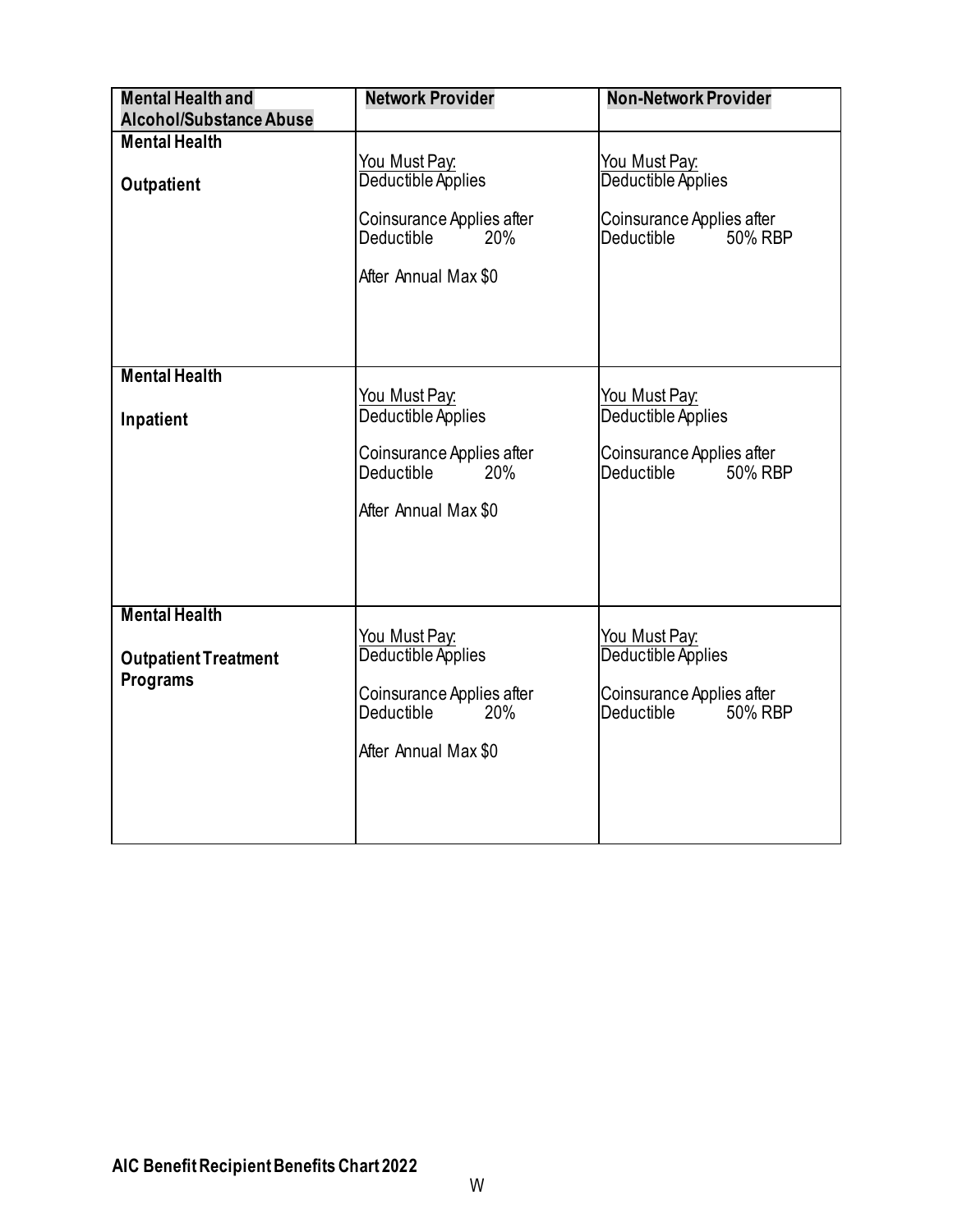<span id="page-25-0"></span>

| <b>Mental Health and</b>                       | <b>Network Provider</b>                                                                                              | <b>Non-Network Provider</b>                                                                                 |
|------------------------------------------------|----------------------------------------------------------------------------------------------------------------------|-------------------------------------------------------------------------------------------------------------|
| <b>Alcohol/Substance Abuse</b>                 |                                                                                                                      |                                                                                                             |
| <b>Mental Health</b><br>Outpatient             | You Must Pay:<br>Deductible Applies<br>Coinsurance Applies after<br>Deductible<br><b>20%</b><br>After Annual Max \$0 | You Must Pay:<br>Deductible Applies<br>Coinsurance Applies after<br>Deductible<br>50% RBP                   |
| <b>Mental Health</b>                           |                                                                                                                      |                                                                                                             |
| Inpatient                                      | You Must Pay:<br>Deductible Applies                                                                                  | You Must Pay:<br>Deductible Applies                                                                         |
|                                                | Coinsurance Applies after<br><b>Deductible</b><br>20%                                                                | Coinsurance Applies after<br>Deductible<br>50% RBP                                                          |
|                                                | After Annual Max \$0                                                                                                 |                                                                                                             |
| <b>Mental Health</b>                           |                                                                                                                      |                                                                                                             |
| <b>Outpatient Treatment</b><br><b>Programs</b> | You Must Pay:<br>Deductible Applies<br>Coinsurance Applies after<br>Deductible<br>20%<br>After Annual Max \$0        | You Must Pay:<br>Deductible Applies<br>Coinsurance Applies after<br>50% RBP<br>Deductible <b>Deductible</b> |
|                                                |                                                                                                                      |                                                                                                             |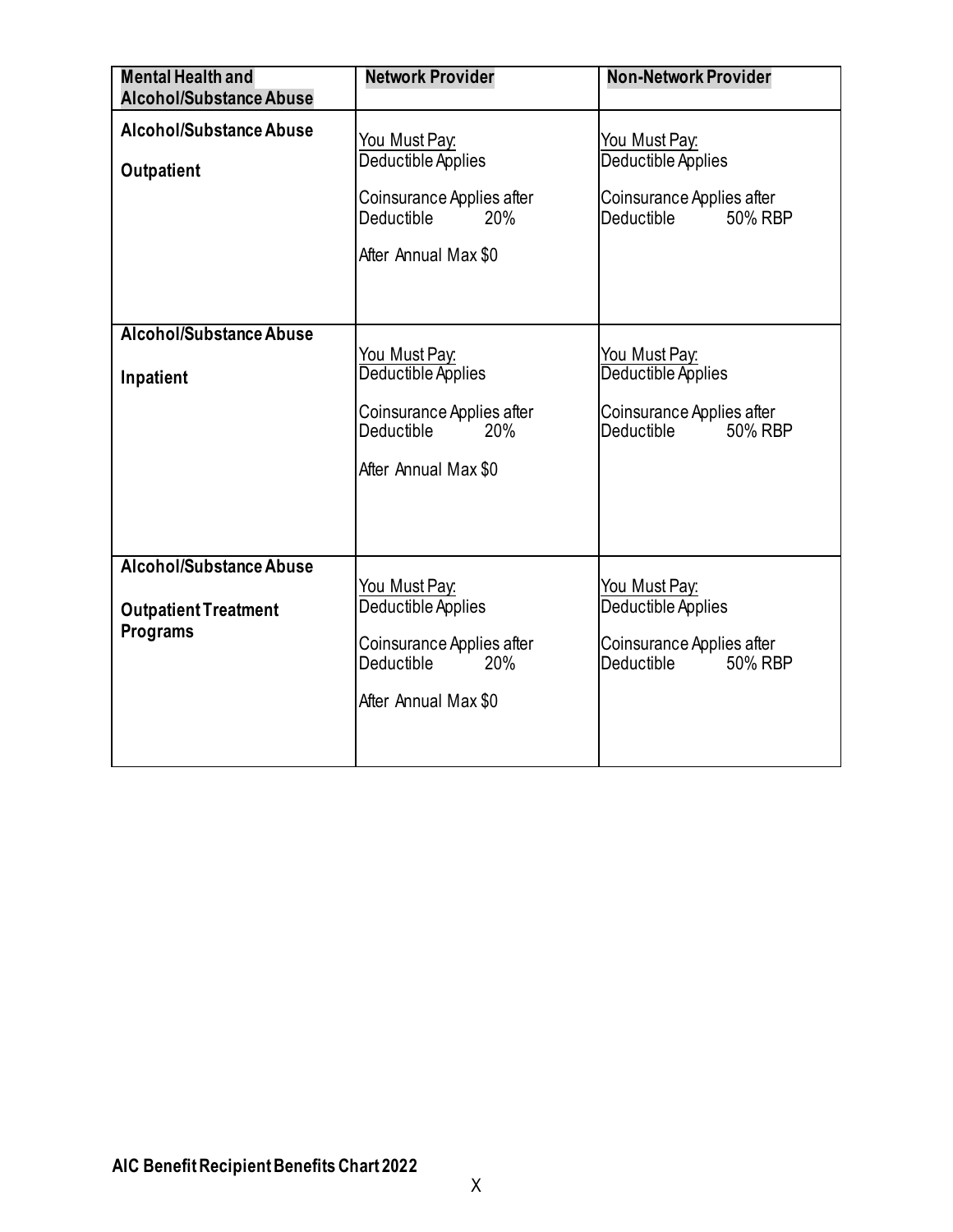<span id="page-26-1"></span><span id="page-26-0"></span>

| <b>Mental Health and</b>    | <b>Network Provider</b>                                      | <b>Non-Network Provider</b>                        |
|-----------------------------|--------------------------------------------------------------|----------------------------------------------------|
| Alcohol/Substance Abuse     |                                                              |                                                    |
| Alcohol/Substance Abuse     | <u>You Must Pay:</u>                                         | You Must Pay:                                      |
| Outpatient                  | Deductible Applies                                           | Deductible Applies                                 |
|                             | Coinsurance Applies after<br>Deductible<br>20%               | Coinsurance Applies after<br>Deductible<br>50% RBP |
|                             | After Annual Max \$0                                         |                                                    |
|                             |                                                              |                                                    |
| Alcohol/Substance Abuse     |                                                              |                                                    |
|                             | <u>You Must Pay:</u>                                         | You Must Pay.                                      |
| Inpatient                   | Deductible Applies                                           | Deductible Applies                                 |
|                             | Coinsurance Applies after<br><b>Deductible</b><br><b>20%</b> | Coinsurance Applies after<br>Deductible<br>50% RBP |
|                             | After Annual Max \$0                                         |                                                    |
|                             |                                                              |                                                    |
|                             |                                                              |                                                    |
| Alcohol/Substance Abuse     |                                                              |                                                    |
|                             | <u>You Must Pay:</u>                                         | <u>You Must Pay:</u>                               |
| <b>Outpatient Treatment</b> | Deductible Applies                                           | Deductible Applies                                 |
| <b>Programs</b>             | Coinsurance Applies after<br><b>Deductible</b><br>20%        | Coinsurance Applies after<br>Deductible<br>50% RBP |
|                             | After Annual Max \$0                                         |                                                    |
|                             |                                                              |                                                    |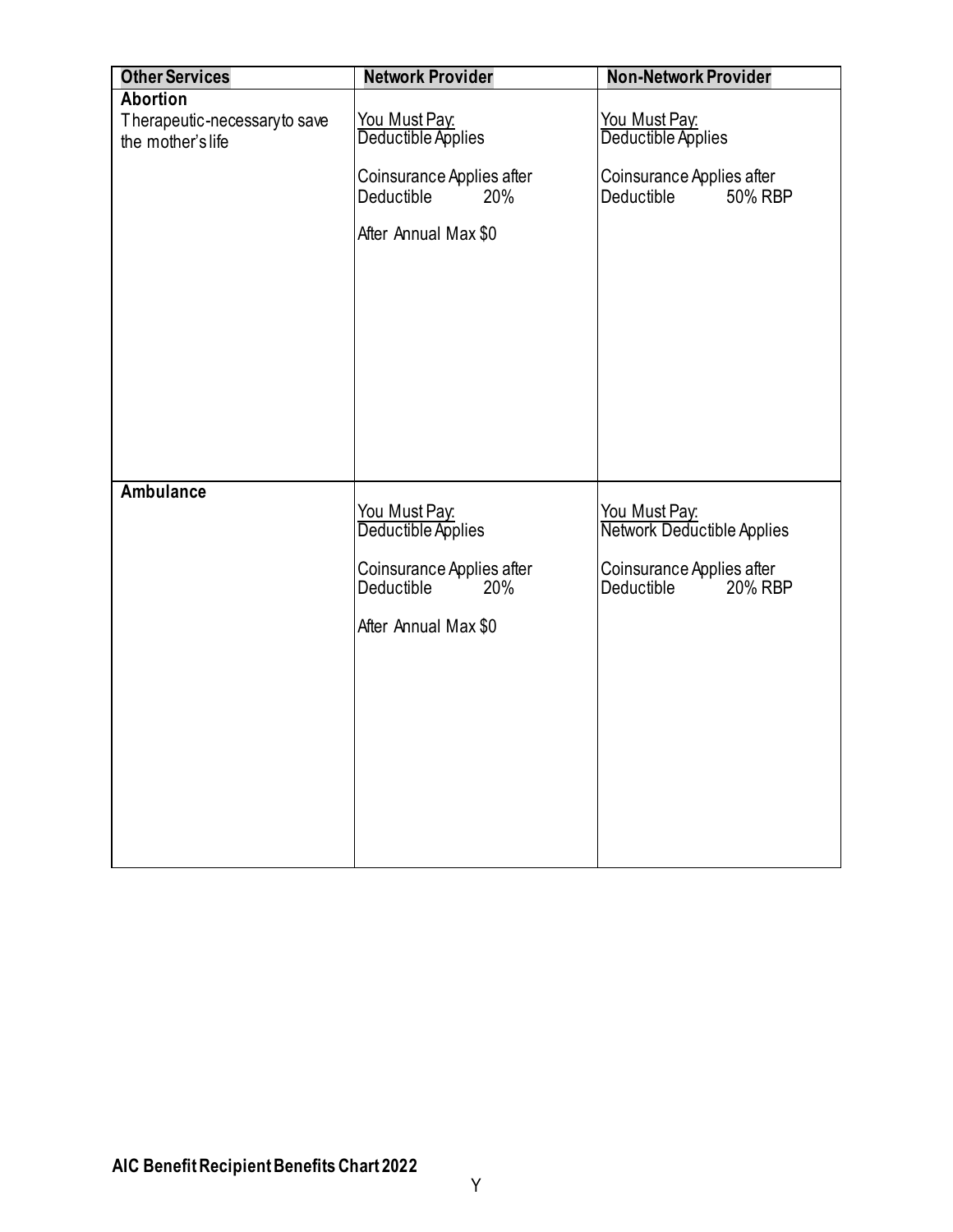| <b>Other Services</b>        | <b>Network Provider</b>                        | <b>Non-Network Provider</b>                        |
|------------------------------|------------------------------------------------|----------------------------------------------------|
| <b>Abortion</b>              |                                                |                                                    |
| Therapeutic-necessaryto save | You Must Pay.                                  | You Must Pay:                                      |
| the mother's life            | Deductible Applies                             | Deductible Applies                                 |
|                              | Coinsurance Applies after                      | Coinsurance Applies after                          |
|                              | Deductible<br>20%                              | 50% RBP<br>Deductible                              |
|                              | After Annual Max \$0                           |                                                    |
|                              |                                                |                                                    |
|                              |                                                |                                                    |
|                              |                                                |                                                    |
|                              |                                                |                                                    |
|                              |                                                |                                                    |
|                              |                                                |                                                    |
|                              |                                                |                                                    |
|                              |                                                |                                                    |
|                              |                                                |                                                    |
| <b>Ambulance</b>             |                                                |                                                    |
|                              | You Must Pay:                                  | You Must Pay:                                      |
|                              | Deductible Applies                             | Network Deductible Applies                         |
|                              |                                                |                                                    |
|                              | Coinsurance Applies after<br>Deductible<br>20% | Coinsurance Applies after<br>Deductible<br>20% RBP |
|                              |                                                |                                                    |
|                              | After Annual Max \$0                           |                                                    |
|                              |                                                |                                                    |
|                              |                                                |                                                    |
|                              |                                                |                                                    |
|                              |                                                |                                                    |
|                              |                                                |                                                    |
|                              |                                                |                                                    |
|                              |                                                |                                                    |
|                              |                                                |                                                    |
|                              |                                                |                                                    |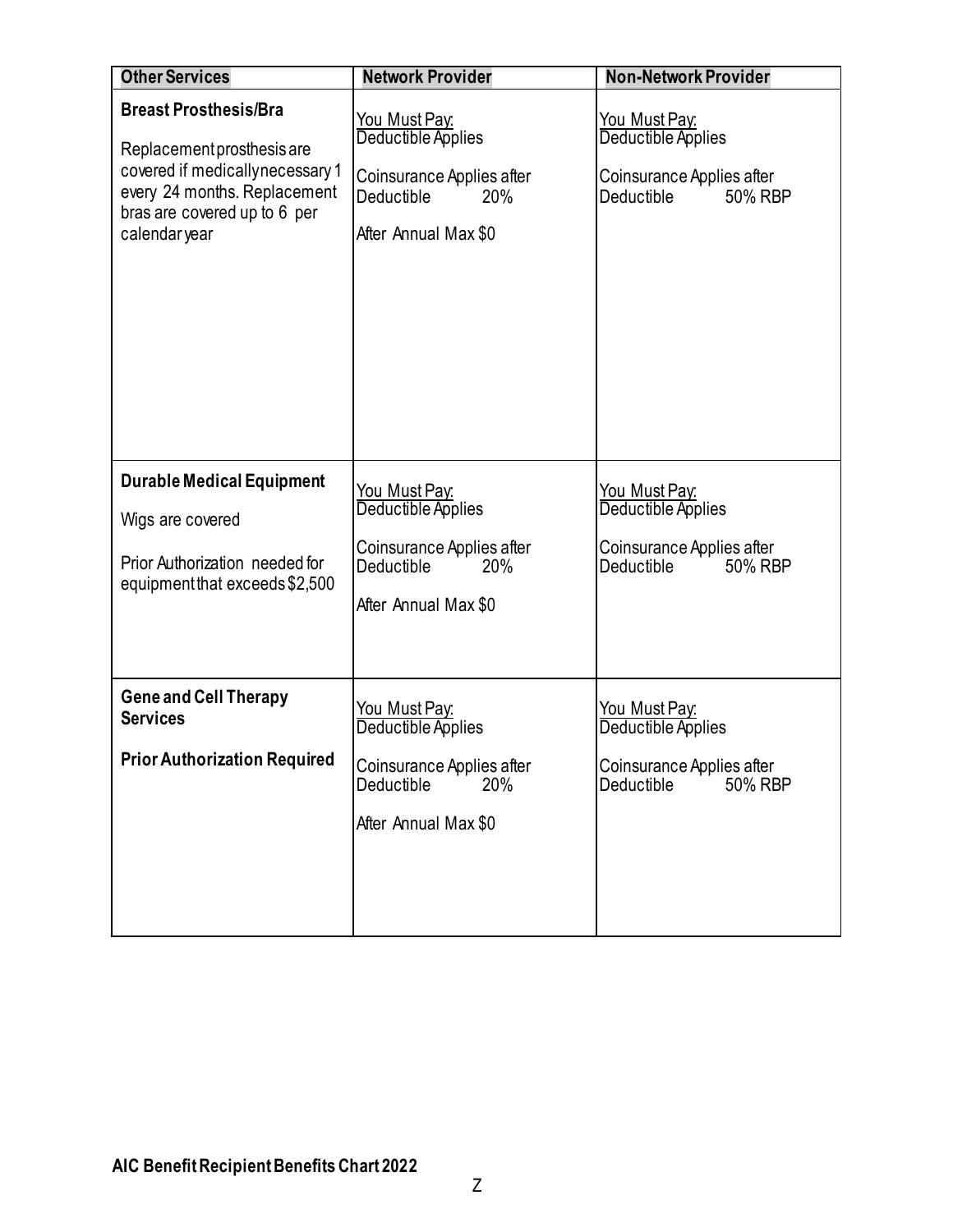<span id="page-28-2"></span><span id="page-28-1"></span><span id="page-28-0"></span>

| <b>Other Services</b>                                                                                                                                                          | <b>Network Provider</b>                                                                                              | <b>Non-Network Provider</b>                                                                         |
|--------------------------------------------------------------------------------------------------------------------------------------------------------------------------------|----------------------------------------------------------------------------------------------------------------------|-----------------------------------------------------------------------------------------------------|
| <b>Breast Prosthesis/Bra</b><br>Replacement prosthesis are<br>covered if medicallynecessary 1<br>every 24 months. Replacement<br>bras are covered up to 6 per<br>calendar year | <u>You Must Pay:</u><br>Deductible Applies<br>Coinsurance Applies after<br>Deductible<br>20%<br>After Annual Max \$0 | You Must Pay.<br>Deductible Applies<br>Coinsurance Applies after<br>Deductible<br>50% RBP           |
| <b>Durable Medical Equipment</b><br>Wigs are covered<br>Prior Authorization needed for<br>equipment that exceeds \$2,500                                                       | <u>You Must Pay:</u><br>Deductible Applies<br>Coinsurance Applies after<br>Deductible<br>20%<br>After Annual Max \$0 | <u>You Must Pay:</u><br>Deductible Applies<br>Coinsurance Applies after<br>Deductible in<br>50% RBP |
| <b>Gene and Cell Therapy</b><br><b>Services</b><br><b>Prior Authorization Required</b>                                                                                         | <u>You Must Pay:</u><br>Deductible Applies<br>Coinsurance Applies after<br>Deductible<br>20%<br>After Annual Max \$0 | <u>You Must Pay:</u><br>Deductible Applies<br>Coinsurance Applies after<br>50% RBP<br>Deductible    |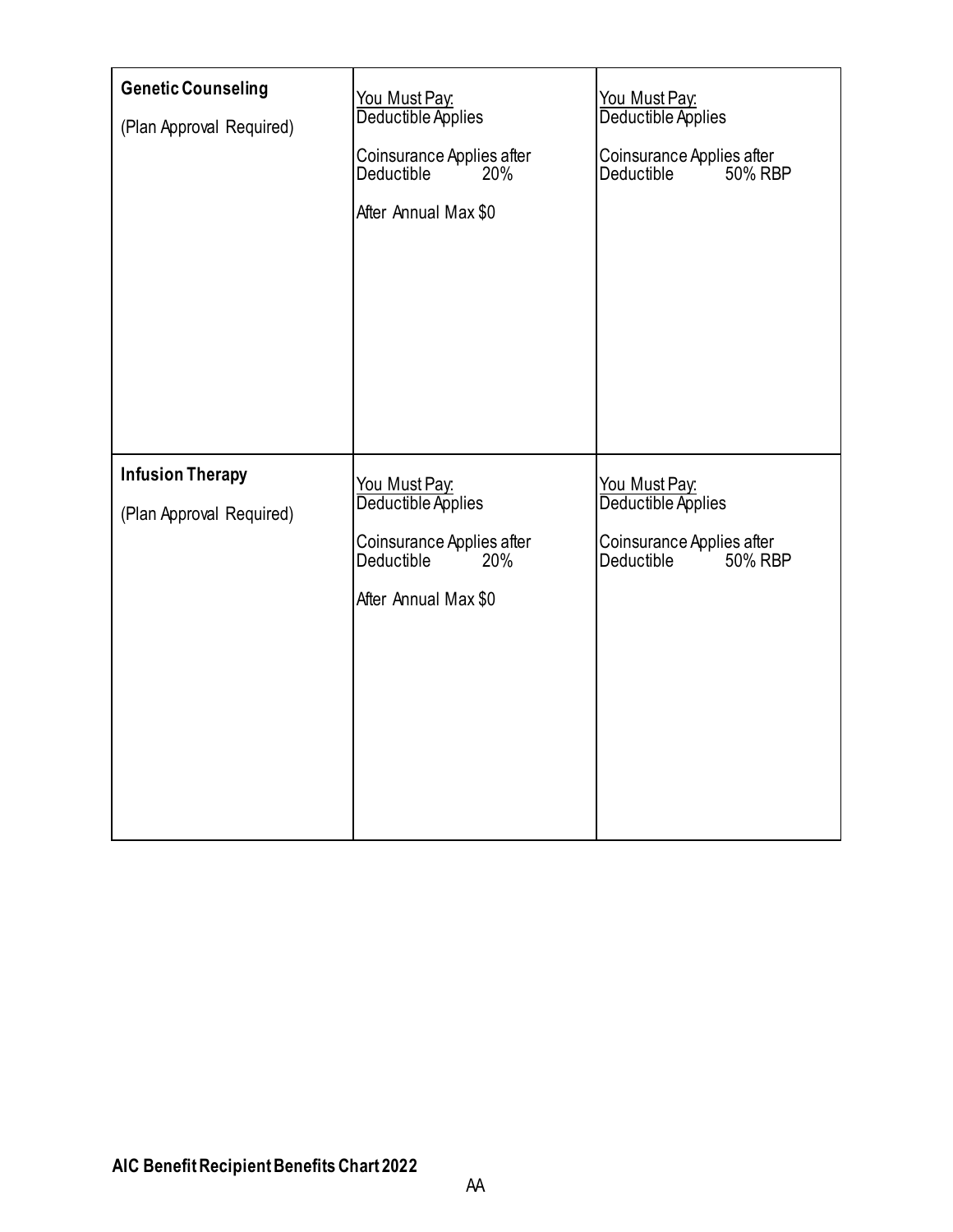<span id="page-29-1"></span><span id="page-29-0"></span>

| <b>Genetic Counseling</b><br>(Plan Approval Required) | You Must Pay:<br>Deductible Applies<br>Coinsurance Applies after<br>Deductible<br>20%<br>After Annual Max \$0 | You Must Pay:<br>Deductible Applies<br>Coinsurance Applies after<br>50% RBP<br>Deductible |
|-------------------------------------------------------|---------------------------------------------------------------------------------------------------------------|-------------------------------------------------------------------------------------------|
| <b>Infusion Therapy</b><br>(Plan Approval Required)   | You Must Pay:<br>Deductible Applies<br>Coinsurance Applies after<br>Deductible<br>20%<br>After Annual Max \$0 | You Must Pay:<br>Deductible Applies<br>Coinsurance Applies after<br>Deductible<br>50% RBP |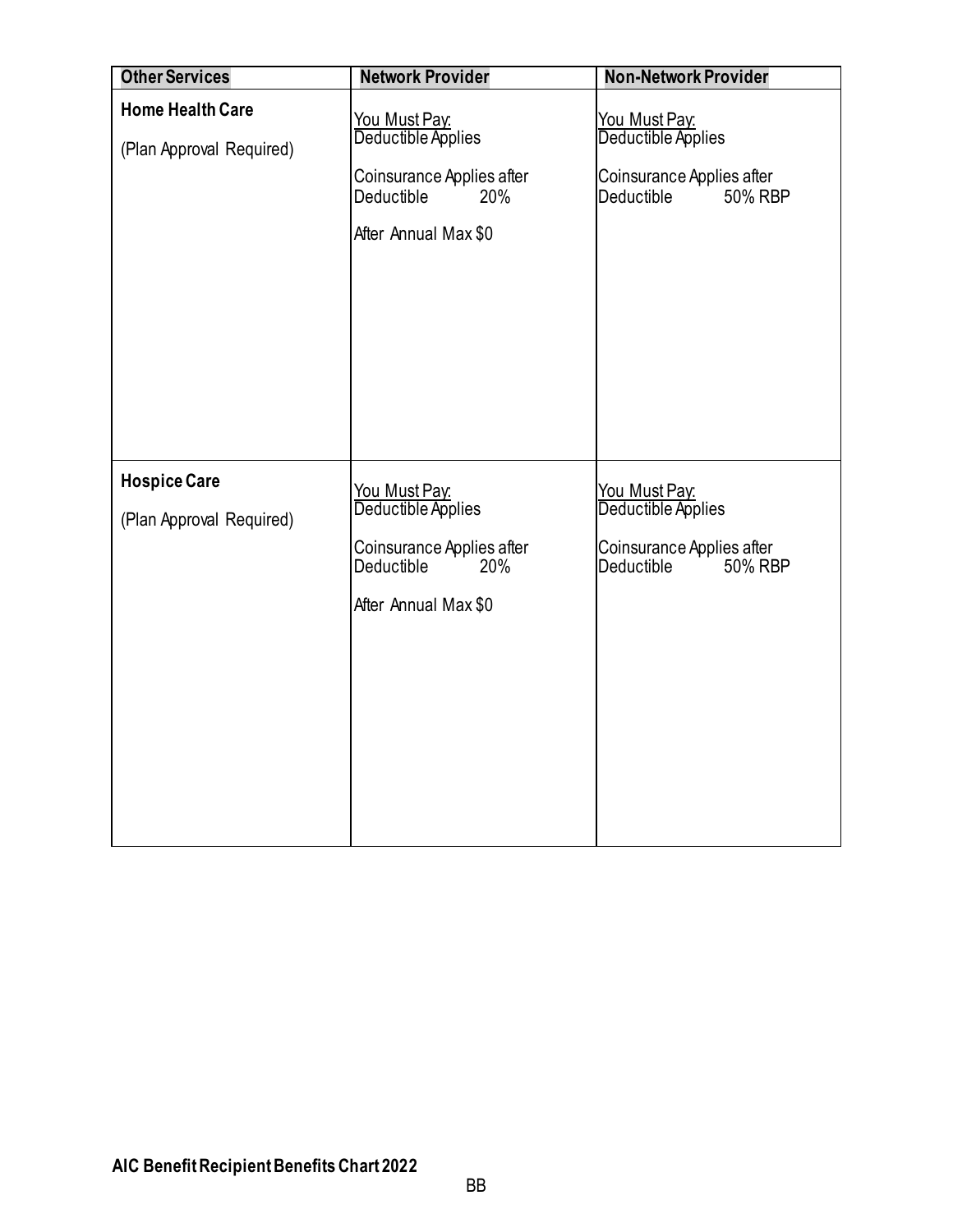<span id="page-30-1"></span><span id="page-30-0"></span>

| <b>Other Services</b>                               | <b>Network Provider</b>                                                                                       | <b>Non-Network Provider</b>                                                                      |
|-----------------------------------------------------|---------------------------------------------------------------------------------------------------------------|--------------------------------------------------------------------------------------------------|
| <b>Home Health Care</b><br>(Plan Approval Required) | You Must Pay:<br>Deductible Applies<br>Coinsurance Applies after<br>Deductible<br>20%<br>After Annual Max \$0 | <u>You Must Pay:</u><br>Deductible Applies<br>Coinsurance Applies after<br>Deductible<br>50% RBP |
| <b>Hospice Care</b><br>(Plan Approval Required)     | You Must Pay:<br>Deductible Applies<br>Coinsurance Applies after<br>Deductible<br>20%<br>After Annual Max \$0 | <u>You Must Pay:</u><br>Deductible Applies<br>Coinsurance Applies after<br>Deductible<br>50% RBP |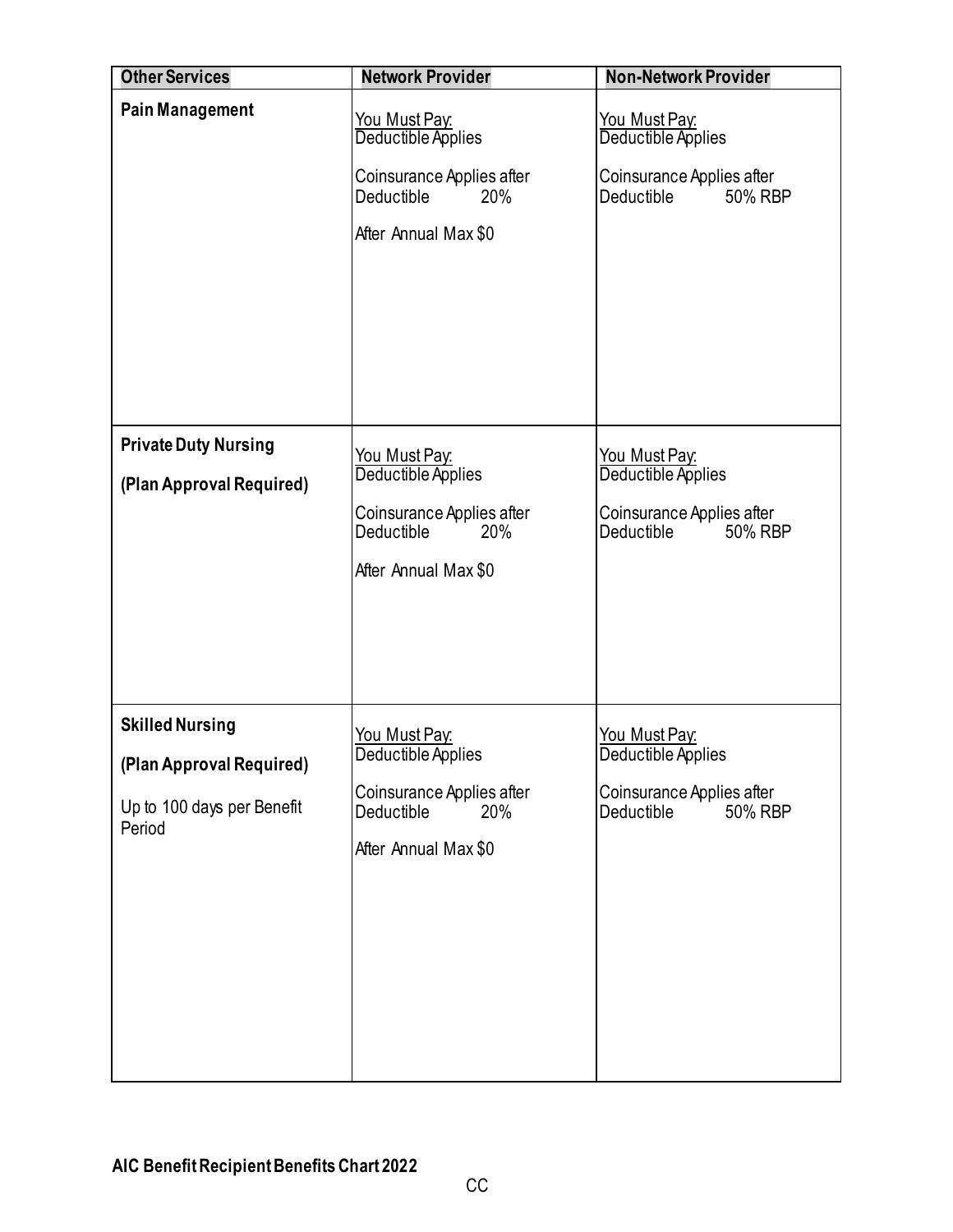<span id="page-31-2"></span><span id="page-31-1"></span><span id="page-31-0"></span>

| <b>Other Services</b>                                                                      | <b>Network Provider</b>                                                                                                     | <b>Non-Network Provider</b>                                                                      |
|--------------------------------------------------------------------------------------------|-----------------------------------------------------------------------------------------------------------------------------|--------------------------------------------------------------------------------------------------|
| <b>Pain Management</b>                                                                     | <b>You Must Pay:</b><br>Deductible Applies<br>Coinsurance Applies after<br>20%<br><b>Deductible</b><br>After Annual Max \$0 | <b>You Must Pay:</b><br>Deductible Applies<br>Coinsurance Applies after<br>Deductible<br>50% RBP |
| <b>Private Duty Nursing</b><br>(Plan Approval Required)                                    | You Must Pay:<br>Deductible Applies<br>Coinsurance Applies after<br>Deductible<br>20%<br>After Annual Max \$0               | You Must Pay:<br>Deductible Applies<br>Coinsurance Applies after<br>Deductible<br>50% RBP        |
| <b>Skilled Nursing</b><br>(Plan Approval Required)<br>Up to 100 days per Benefit<br>Period | <u>You Must Pay:</u><br>Deductible Applies<br>Coinsurance Applies after<br>Deductible<br>20%<br>After Annual Max \$0        | <b>You Must Pay:</b><br>Deductible Applies<br>Coinsurance Applies after<br>Deductible<br>50% RBP |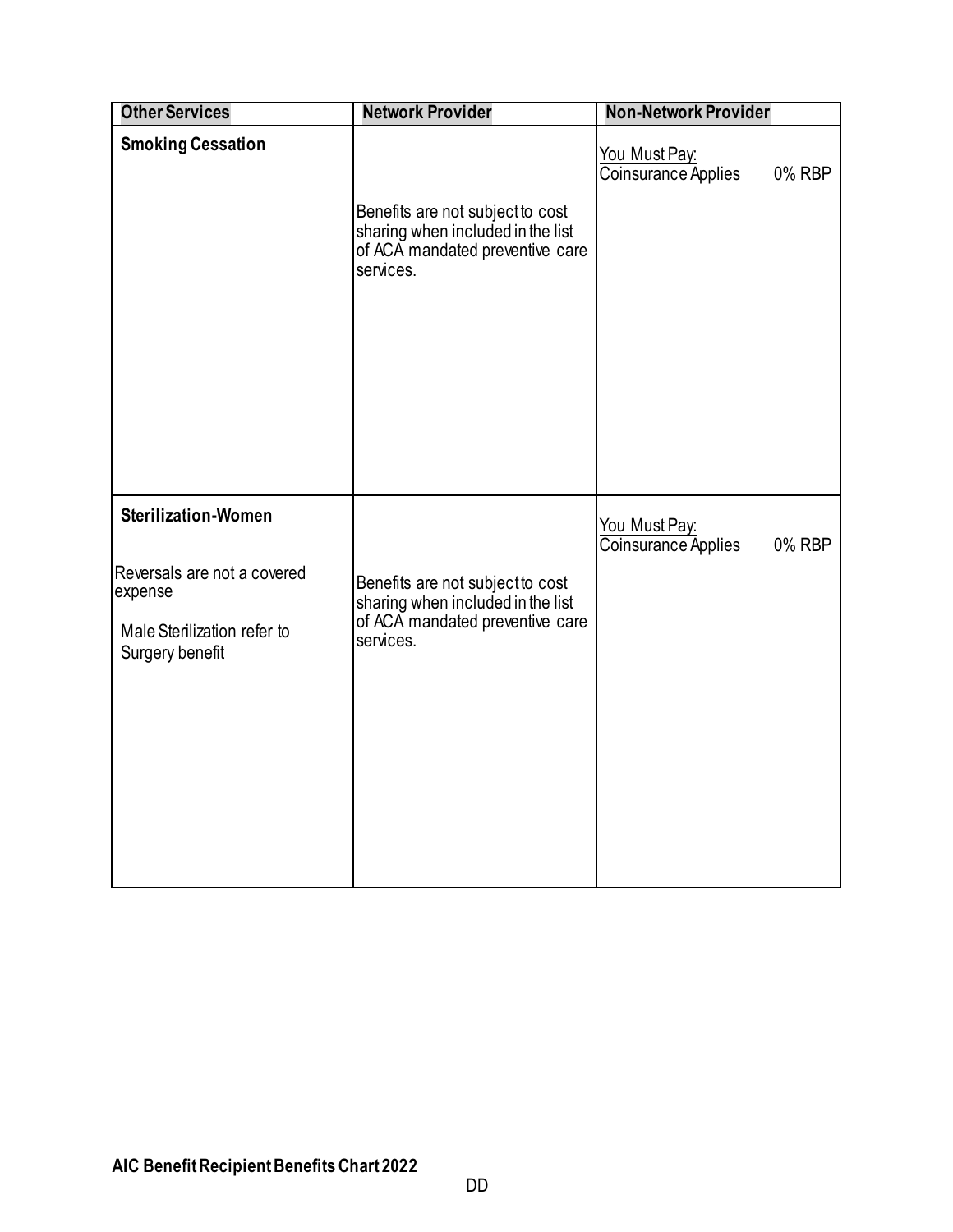<span id="page-32-1"></span><span id="page-32-0"></span>

| <b>Other Services</b>                                                                                                  | <b>Network Provider</b>                                                                                               | <b>Non-Network Provider</b>                    |
|------------------------------------------------------------------------------------------------------------------------|-----------------------------------------------------------------------------------------------------------------------|------------------------------------------------|
| <b>Smoking Cessation</b>                                                                                               | Benefits are not subject to cost<br>sharing when included in the list<br>of ACA mandated preventive care<br>services. | You Must Pay:<br>Coinsurance Applies<br>0% RBP |
| <b>Sterilization-Women</b><br>Reversals are not a covered<br>expense<br>Male Sterilization refer to<br>Surgery benefit | Benefits are not subject to cost<br>sharing when included in the list<br>of ACA mandated preventive care<br>services. | You Must Pay:<br>Coinsurance Applies<br>0% RBP |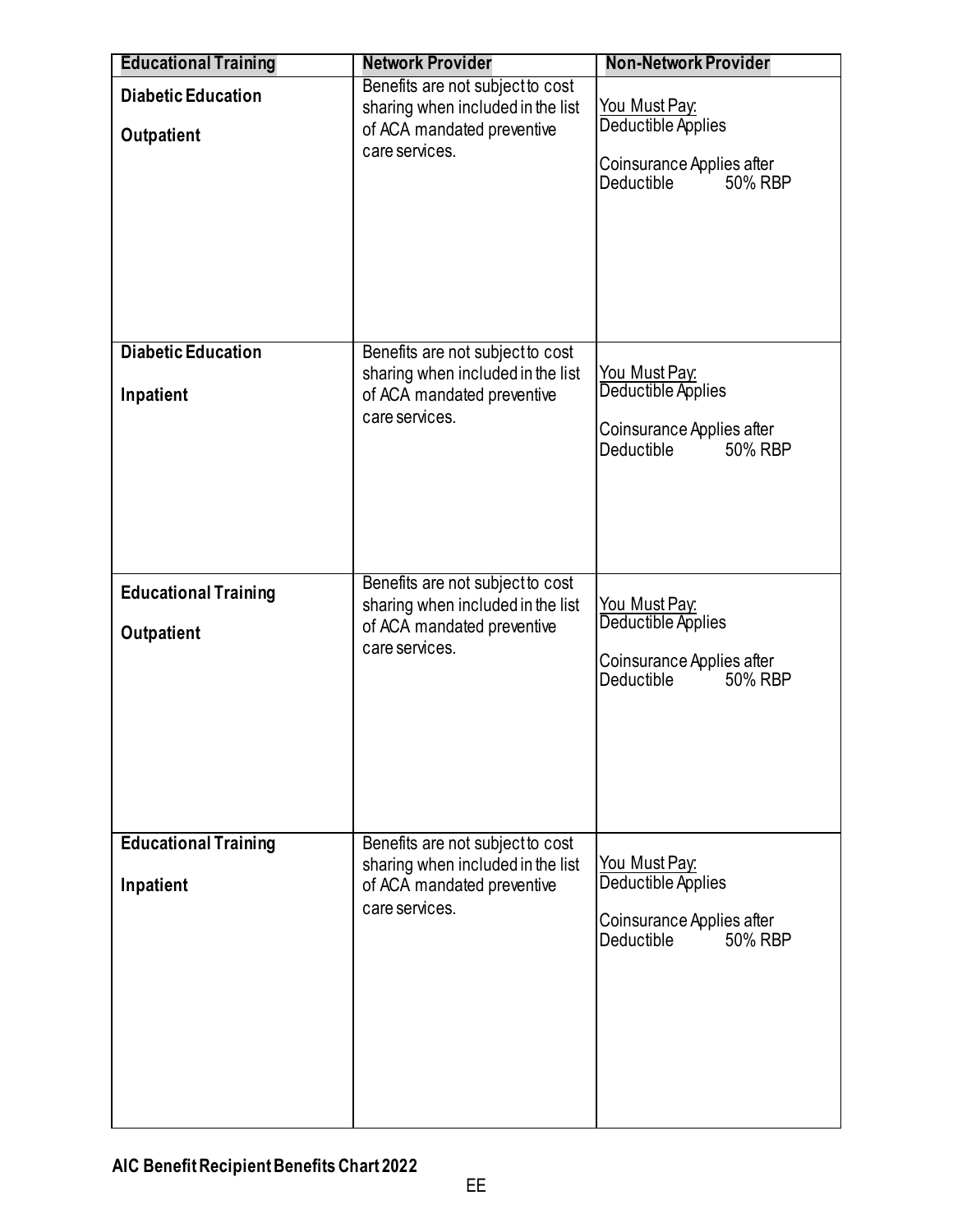<span id="page-33-1"></span><span id="page-33-0"></span>

| <b>Educational Training</b>                      | <b>Network Provider</b>                                                                                               | <b>Non-Network Provider</b>                                                                             |
|--------------------------------------------------|-----------------------------------------------------------------------------------------------------------------------|---------------------------------------------------------------------------------------------------------|
| <b>Diabetic Education</b><br><b>Outpatient</b>   | Benefits are not subject to cost<br>sharing when included in the list<br>of ACA mandated preventive<br>care services. | You Must Pay:<br>Deductible Applies<br>Coinsurance Applies after<br>50% RBP<br>Deductible               |
| <b>Diabetic Education</b><br>Inpatient           | Benefits are not subject to cost<br>sharing when included in the list<br>of ACA mandated preventive<br>care services. | <u>You Must Pay:</u><br>Deductible Applies<br>Coinsurance Applies after<br>Deductible<br>50% RBP        |
| <b>Educational Training</b><br><b>Outpatient</b> | Benefits are not subject to cost<br>sharing when included in the list<br>of ACA mandated preventive<br>care services. | You Must Pay:<br>Deductible Applies<br>Coinsurance Applies after<br>50% RBP<br><b>Deductible</b>        |
| <b>Educational Training</b><br>Inpatient         | Benefits are not subject to cost<br>sharing when included in the list<br>of ACA mandated preventive<br>care services. | <u>You Must Pay:</u><br>Deductible Applies<br>Coinsurance Applies after<br><b>Deductible</b><br>50% RBP |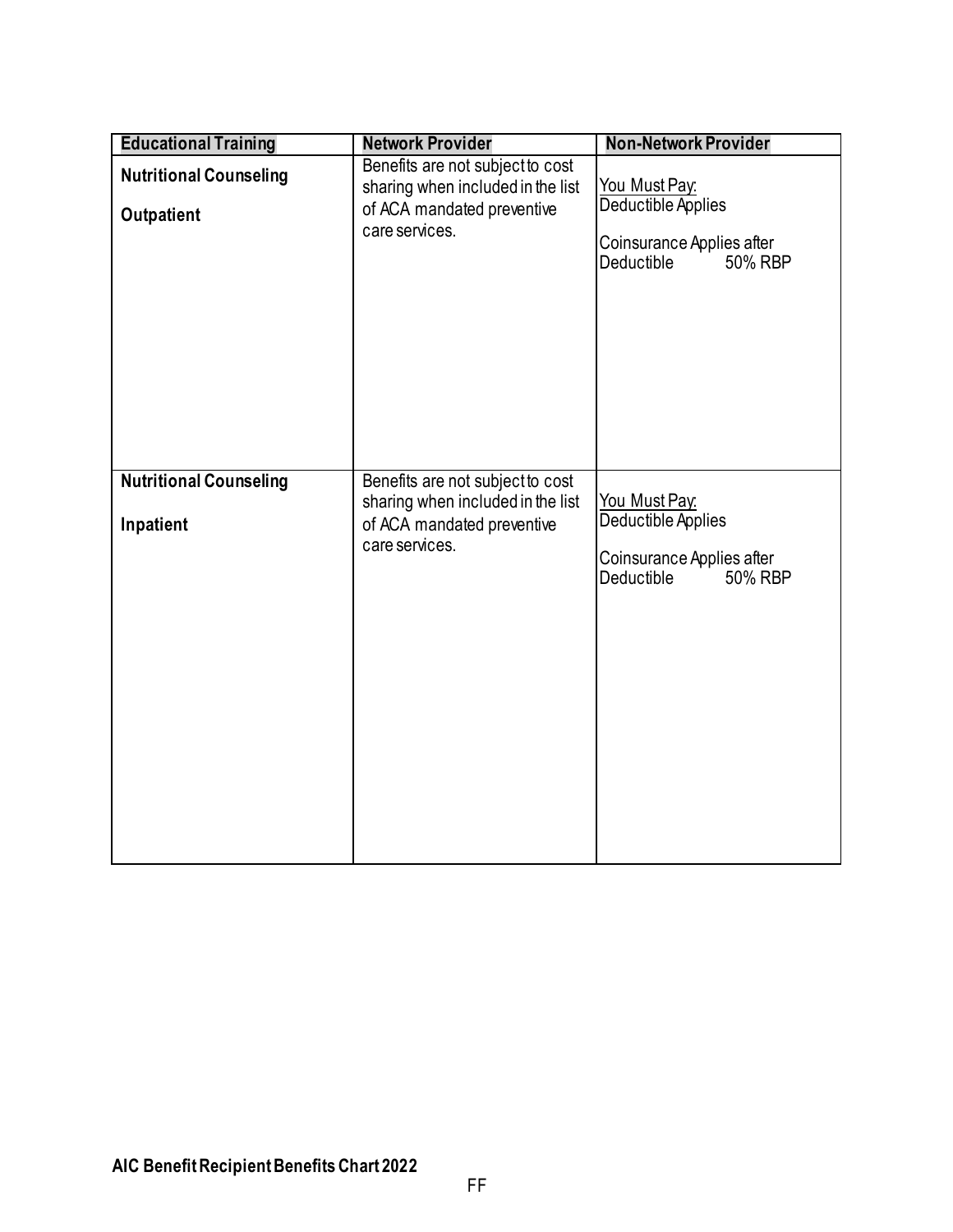<span id="page-34-0"></span>

| <b>Educational Training</b>                 | <b>Network Provider</b>                                                                                               | <b>Non-Network Provider</b>                                                               |
|---------------------------------------------|-----------------------------------------------------------------------------------------------------------------------|-------------------------------------------------------------------------------------------|
| <b>Nutritional Counseling</b><br>Outpatient | Benefits are not subject to cost<br>sharing when included in the list<br>of ACA mandated preventive<br>care services. | You Must Pay:<br>Deductible Applies<br>Coinsurance Applies after<br>Deductible<br>50% RBP |
| <b>Nutritional Counseling</b><br>Inpatient  | Benefits are not subject to cost<br>sharing when included in the list<br>of ACA mandated preventive<br>care services. | You Must Pay.<br>Deductible Applies<br>Coinsurance Applies after<br>50% RBP<br>Deductible |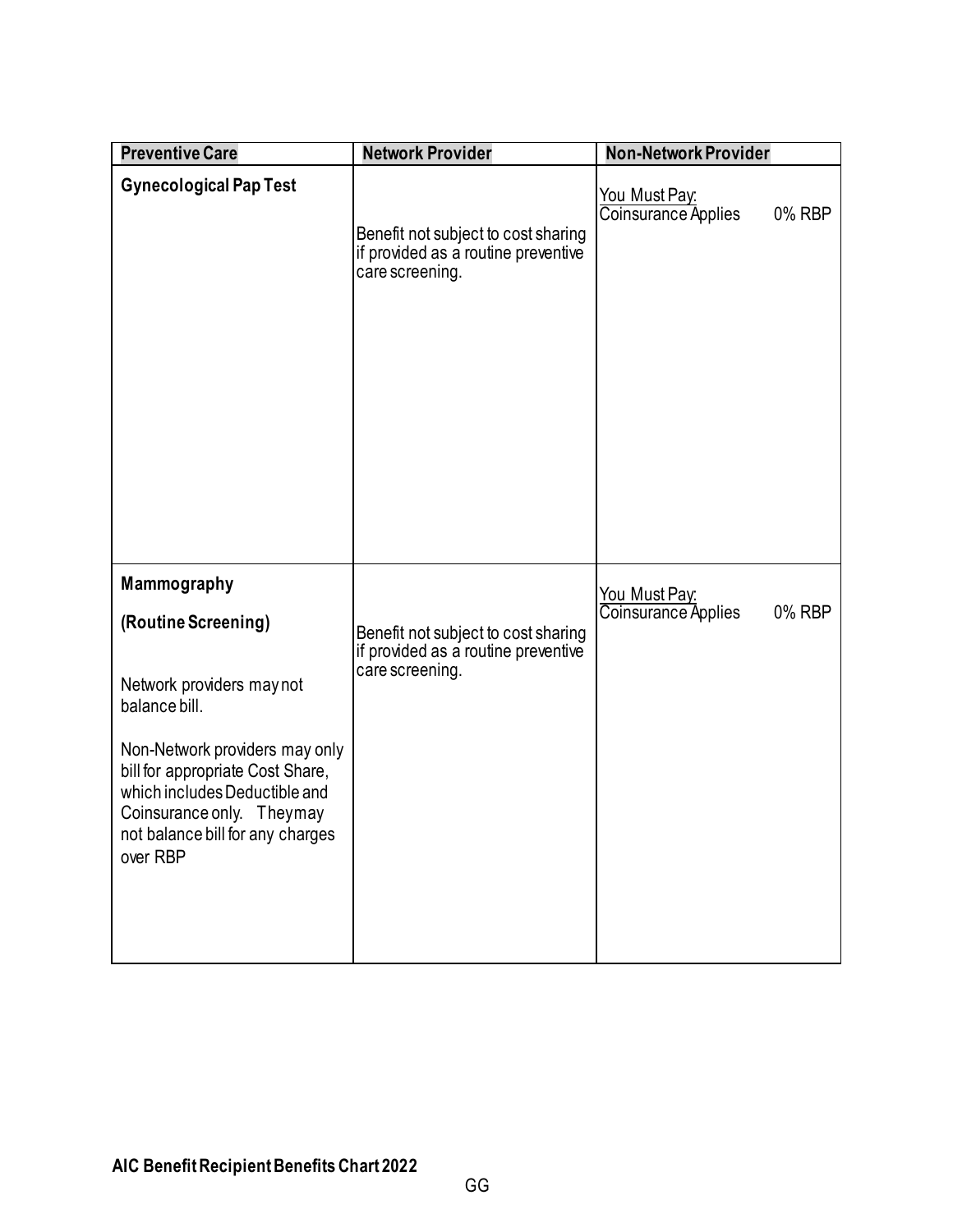<span id="page-35-2"></span><span id="page-35-1"></span><span id="page-35-0"></span>

| <b>Preventive Care</b>                                                                                                                                                                                                                                               | <b>Network Provider</b>                                                                       | <b>Non-Network Provider</b>                           |
|----------------------------------------------------------------------------------------------------------------------------------------------------------------------------------------------------------------------------------------------------------------------|-----------------------------------------------------------------------------------------------|-------------------------------------------------------|
| <b>Gynecological Pap Test</b>                                                                                                                                                                                                                                        | Benefit not subject to cost sharing<br>if provided as a routine preventive<br>care screening. | <u>You Must Pay:</u><br>Coinsurance Applies<br>0% RBP |
| Mammography<br>(Routine Screening)<br>Network providers may not<br>balance bill.<br>Non-Network providers may only<br>bill for appropriate Cost Share,<br>which includes Deductible and<br>Coinsurance only. Theymay<br>not balance bill for any charges<br>over RBP | Benefit not subject to cost sharing<br>if provided as a routine preventive<br>care screening. | <u>You Must Pay:</u><br>Coinsurance Applies<br>0% RBP |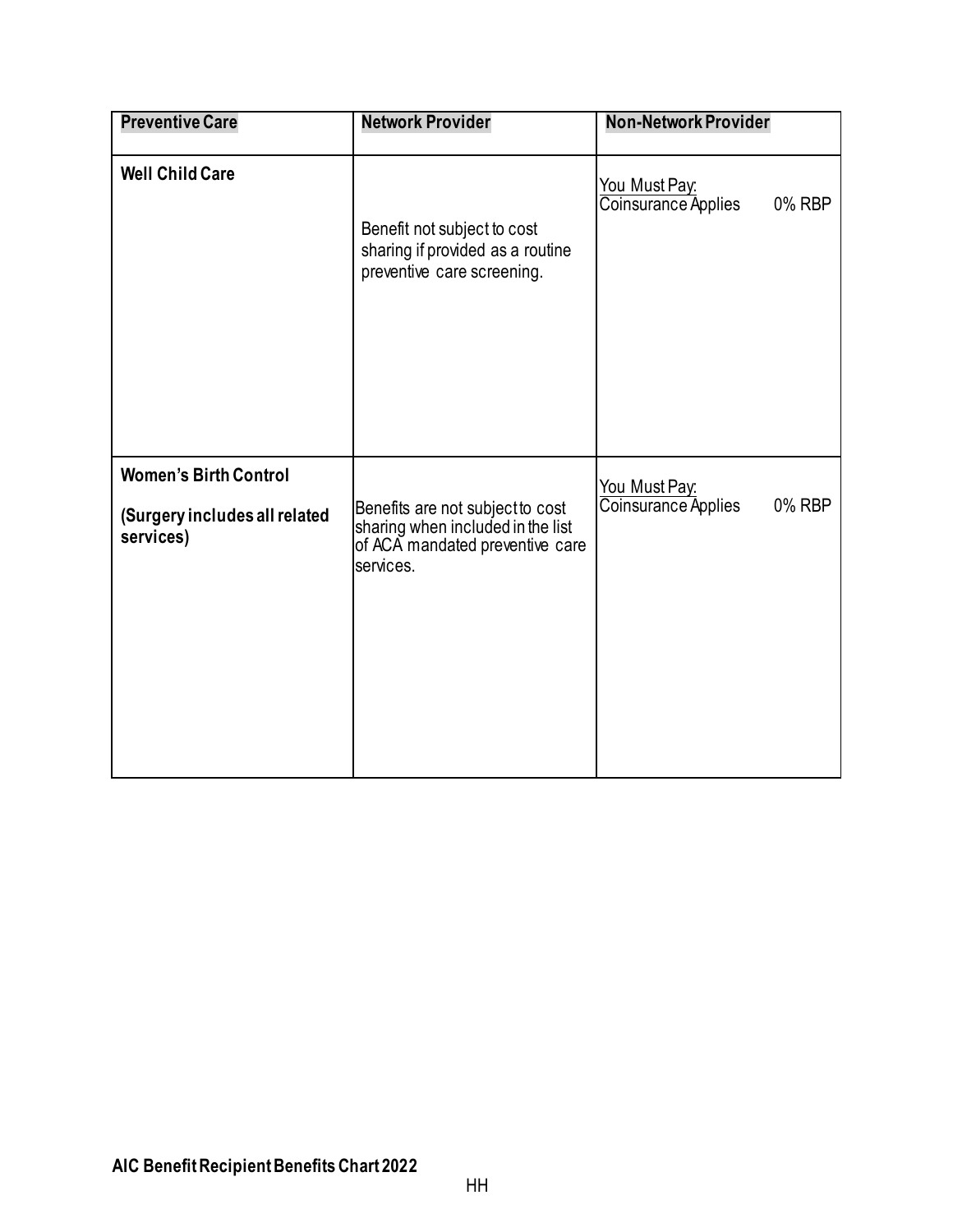<span id="page-36-1"></span><span id="page-36-0"></span>

| <b>Preventive Care</b>                                                     | <b>Network Provider</b>                                                                                               | <b>Non-Network Provider</b>                    |
|----------------------------------------------------------------------------|-----------------------------------------------------------------------------------------------------------------------|------------------------------------------------|
| <b>Well Child Care</b>                                                     | Benefit not subject to cost<br>sharing if provided as a routine<br>preventive care screening.                         | You Must Pay:<br>Coinsurance Applies<br>0% RBP |
| <b>Women's Birth Control</b><br>(Surgery includes all related<br>services) | Benefits are not subject to cost<br>sharing when included in the list<br>of ACA mandated preventive care<br>services. | You Must Pay:<br>Coinsurance Applies<br>0% RBP |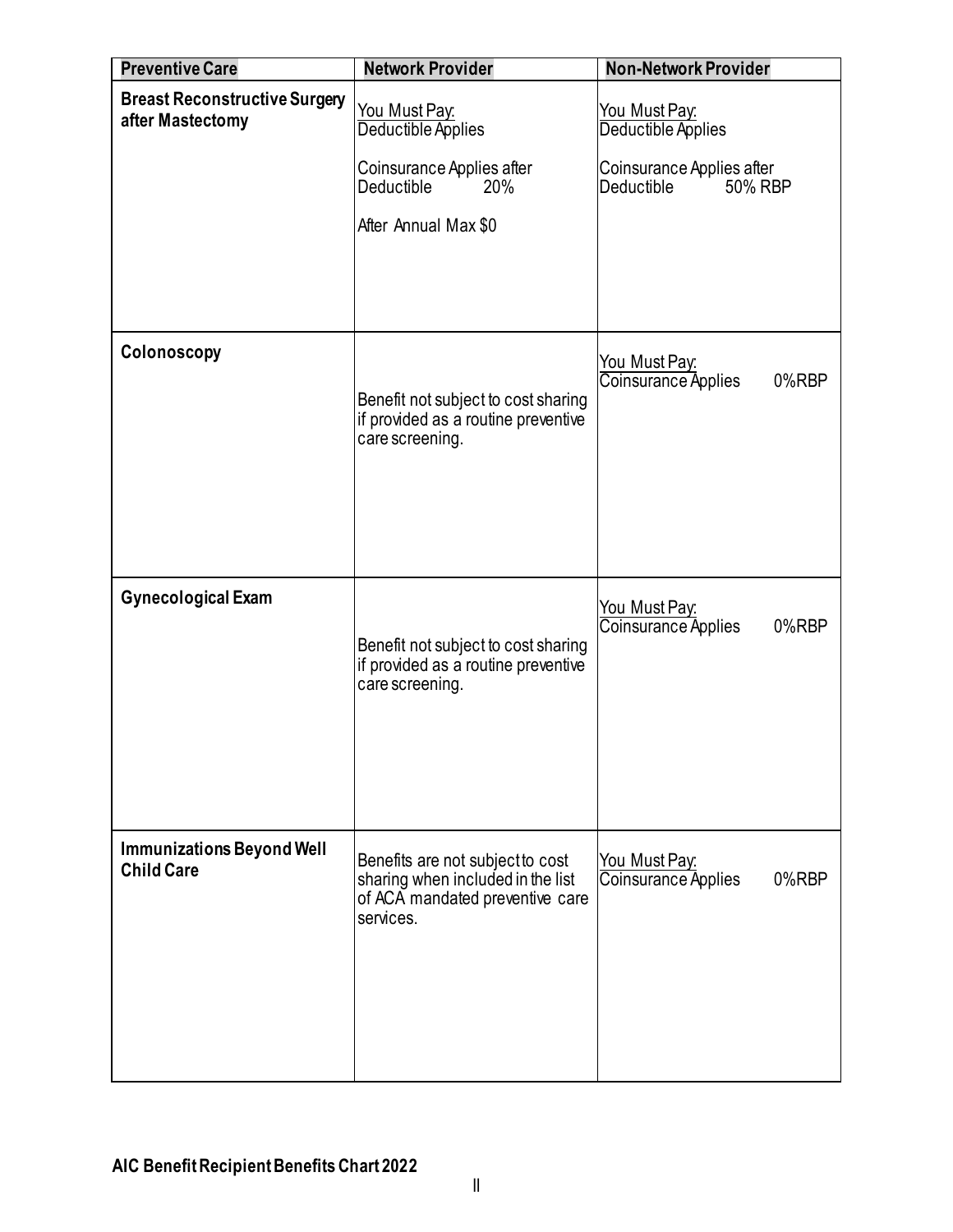<span id="page-37-3"></span><span id="page-37-2"></span><span id="page-37-1"></span><span id="page-37-0"></span>

| <b>Preventive Care</b>                                   | <b>Network Provider</b>                                                                                               | <b>Non-Network Provider</b>                               |
|----------------------------------------------------------|-----------------------------------------------------------------------------------------------------------------------|-----------------------------------------------------------|
| <b>Breast Reconstructive Surgery</b><br>after Mastectomy | You Must Pay:<br>Deductible Applies                                                                                   | You Must Pay:<br>Deductible Applies                       |
|                                                          | Coinsurance Applies after<br>Deductible<br>20%                                                                        | Coinsurance Applies after<br><b>Deductible</b><br>50% RBP |
|                                                          | After Annual Max \$0                                                                                                  |                                                           |
|                                                          |                                                                                                                       |                                                           |
| Colonoscopy                                              | Benefit not subject to cost sharing<br>if provided as a routine preventive<br>care screening.                         | You Must Pay:<br>Coinsurance Applies<br>0%RBP             |
| <b>Gynecological Exam</b>                                | Benefit not subject to cost sharing<br>if provided as a routine preventive<br>care screening.                         | You Must Pay:<br>Coinsurance Applies<br>0%RBP             |
| <b>Immunizations Beyond Well</b><br><b>Child Care</b>    | Benefits are not subject to cost<br>sharing when included in the list<br>of ACA mandated preventive care<br>services. | You Must Pay:<br>Coinsurance Applies<br>0%RBP             |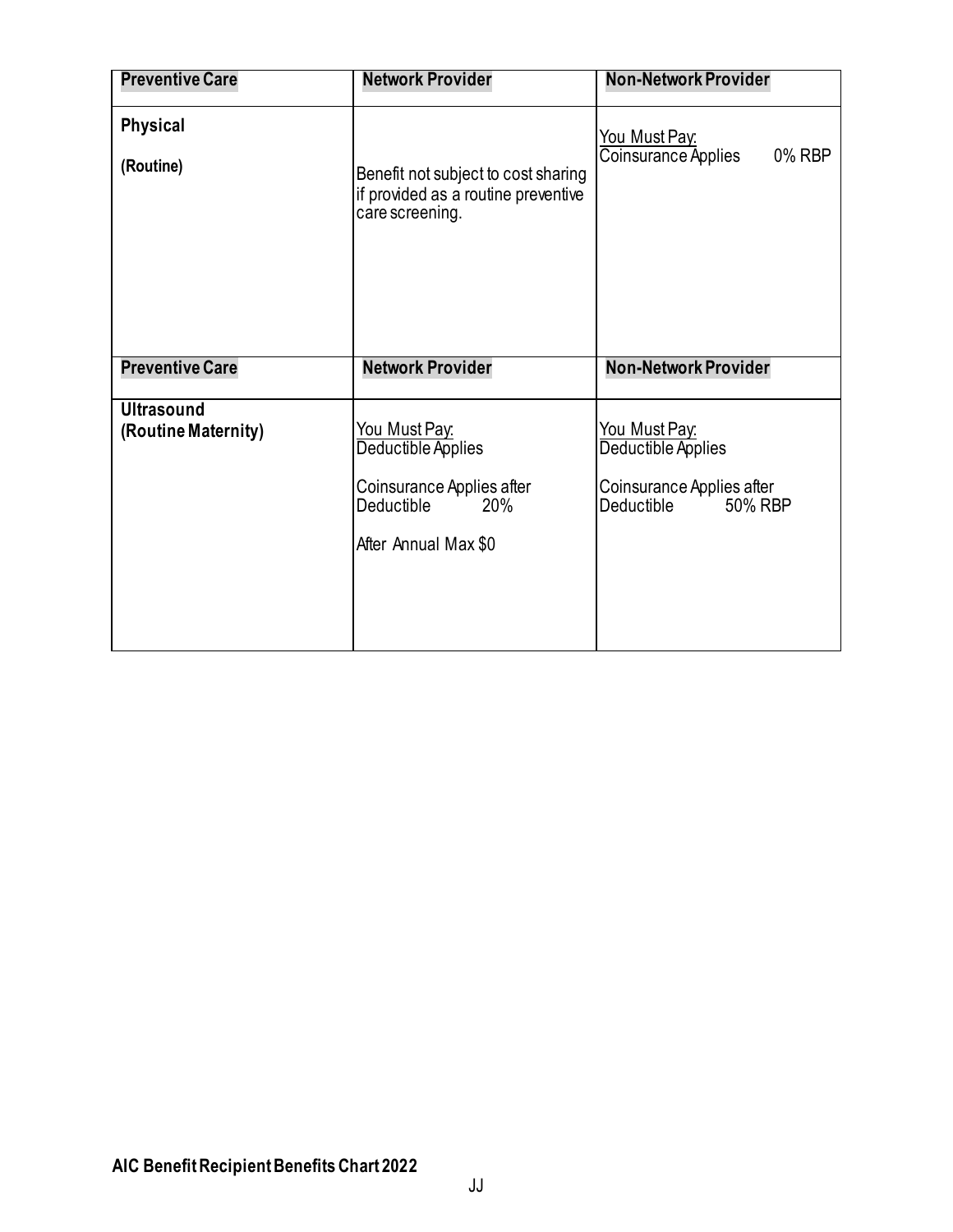<span id="page-38-1"></span><span id="page-38-0"></span>

| <b>Preventive Care</b>                   | <b>Network Provider</b>                                                                                       | <b>Non-Network Provider</b>                                                               |
|------------------------------------------|---------------------------------------------------------------------------------------------------------------|-------------------------------------------------------------------------------------------|
| <b>Physical</b><br>(Routine)             | Benefit not subject to cost sharing<br>if provided as a routine preventive<br>care screening.                 | You Must Pay:<br>Coinsurance Applies<br>0% RBP                                            |
| <b>Preventive Care</b>                   | <b>Network Provider</b>                                                                                       | <b>Non-Network Provider</b>                                                               |
| <b>Ultrasound</b><br>(Routine Maternity) | You Must Pay.<br>Deductible Applies<br>Coinsurance Applies after<br>Deductible<br>20%<br>After Annual Max \$0 | You Must Pay:<br>Deductible Applies<br>Coinsurance Applies after<br>50% RBP<br>Deductible |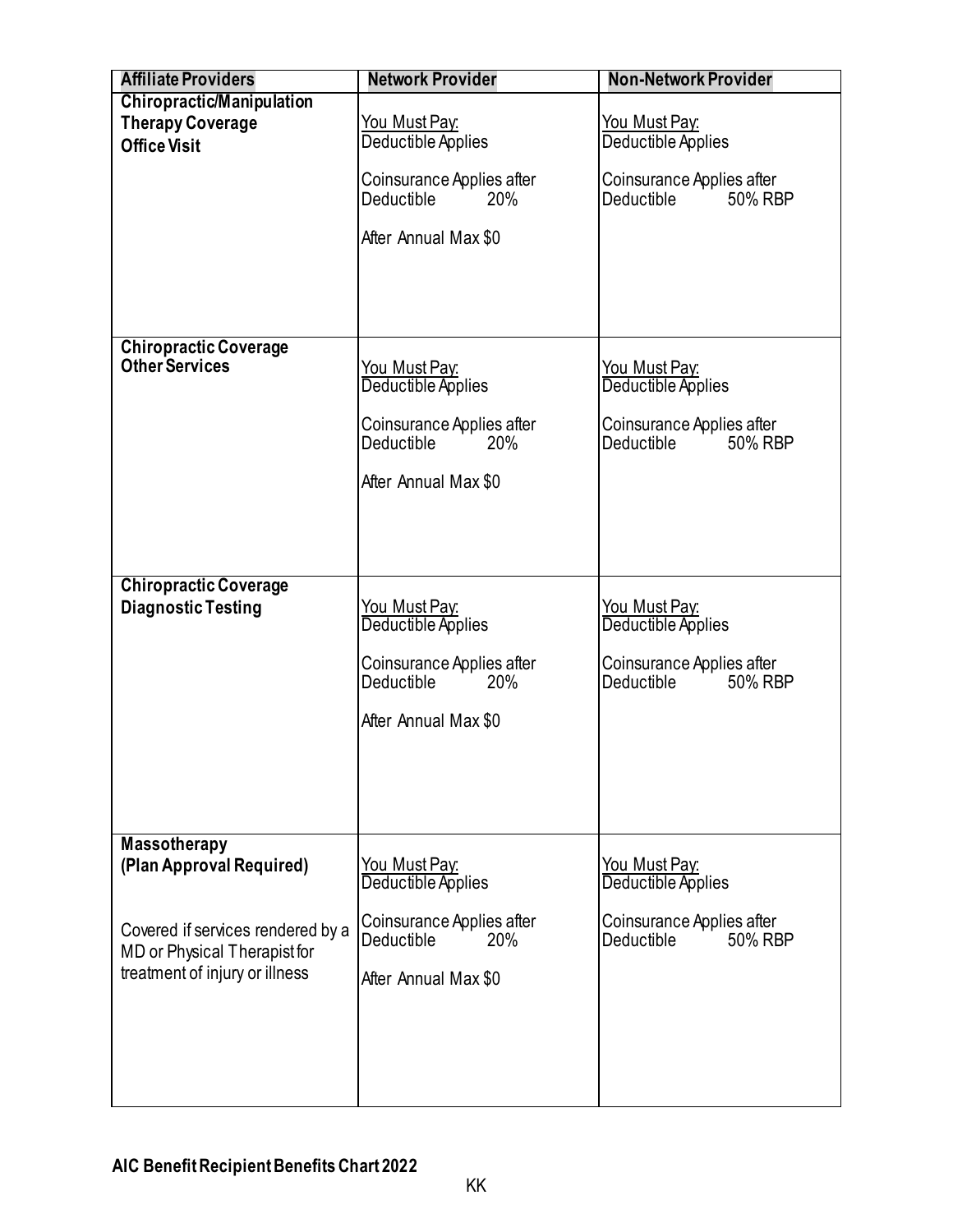<span id="page-39-1"></span><span id="page-39-0"></span>

| <b>Affiliate Providers</b>        | <b>Network Provider</b>                                      | <b>Non-Network Provider</b>                          |
|-----------------------------------|--------------------------------------------------------------|------------------------------------------------------|
| <b>Chiropractic/Manipulation</b>  |                                                              |                                                      |
| <b>Therapy Coverage</b>           | <u>You Must Pay:</u>                                         | <u>You Must Pay:</u>                                 |
| <b>Office Visit</b>               | Deductible Applies                                           | Deductible Applies                                   |
|                                   |                                                              |                                                      |
|                                   | Coinsurance Applies after<br><b>Deductible</b><br><b>20%</b> | Coinsurance Applies after<br>Deductible<br>50% RBP   |
|                                   |                                                              |                                                      |
|                                   | After Annual Max \$0                                         |                                                      |
|                                   |                                                              |                                                      |
|                                   |                                                              |                                                      |
|                                   |                                                              |                                                      |
|                                   |                                                              |                                                      |
| <b>Chiropractic Coverage</b>      |                                                              |                                                      |
| <b>Other Services</b>             | <u>You Must Pay:</u>                                         | <u>You Must Pay:</u>                                 |
|                                   | Deductible Applies                                           | Deductible Applies                                   |
|                                   | Coinsurance Applies after                                    | Coinsurance Applies after                            |
|                                   | <b>Deductible</b><br>20%                                     | Deductible in<br>50% RBP                             |
|                                   |                                                              |                                                      |
|                                   | After Annual Max \$0                                         |                                                      |
|                                   |                                                              |                                                      |
|                                   |                                                              |                                                      |
|                                   |                                                              |                                                      |
| <b>Chiropractic Coverage</b>      |                                                              |                                                      |
| <b>Diagnostic Testing</b>         | <u>You Must Pay:</u>                                         | <u>You Must Pay:</u>                                 |
|                                   | Deductible Applies                                           | Deductible Applies                                   |
|                                   |                                                              |                                                      |
|                                   | Coinsurance Applies after<br>Deductible<br>20%               | Coinsurance Applies after<br>Deductible "<br>50% RBP |
|                                   |                                                              |                                                      |
|                                   | After Annual Max \$0                                         |                                                      |
|                                   |                                                              |                                                      |
|                                   |                                                              |                                                      |
|                                   |                                                              |                                                      |
|                                   |                                                              |                                                      |
| <b>Massotherapy</b>               |                                                              |                                                      |
| (Plan Approval Required)          | You Must Pay:                                                | <u>You Must Pay:</u>                                 |
|                                   | Deductible Applies                                           | Deductible Applies                                   |
|                                   | Coinsurance Applies after                                    | Coinsurance Applies after                            |
| Covered if services rendered by a | Deductible<br>20%                                            | 50% RBP<br>Deductible                                |
| MD or Physical Therapist for      |                                                              |                                                      |
| treatment of injury or illness    | After Annual Max \$0                                         |                                                      |
|                                   |                                                              |                                                      |
|                                   |                                                              |                                                      |
|                                   |                                                              |                                                      |
|                                   |                                                              |                                                      |
|                                   |                                                              |                                                      |